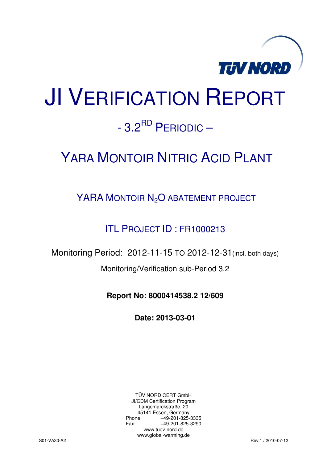

# JI VERIFICATION REPORT  $-3.2^{RD}$  PFRIODIC –

## YARA MONTOIR NITRIC ACID PLANT

## YARA MONTOIR N<sub>2</sub>O ABATEMENT PROJECT

## ITL PROJECT ID : FR1000213

Monitoring Period: 2012-11-15 TO 2012-12-31(incl. both days)

Monitoring/Verification sub-Period 3.2

**Report No: 8000414538.2 12/609** 

**Date: 2013-03-01** 

TÜV NORD CERT GmbH JI/CDM Certification Program Langemarckstraße, 20 45141 Essen, Germany<br>+49-201-825-49 +49-201-825-3335 Fax: +49-201-825-3290 www.tuev-nord.de www.global-warming.de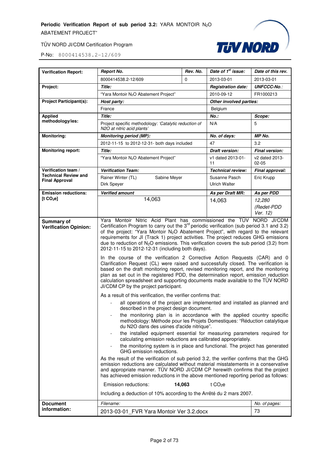

| <b>Verification Report:</b>                        | <b>Report No.</b>                                                                                                                                                                                                                                                                                                                                                                                                                                                                                                                                                                                                                                                                                                                                                                                                                                                                                                                                                                                                                                                                                                                                                                                                                                                                                                                                                                                                                                                                                                                                                                                                                                                                                                                                                                                                                                                                                                                                               | Rev. No.     | Date of 1 <sup>st</sup> issue: | Date of this rev.                |
|----------------------------------------------------|-----------------------------------------------------------------------------------------------------------------------------------------------------------------------------------------------------------------------------------------------------------------------------------------------------------------------------------------------------------------------------------------------------------------------------------------------------------------------------------------------------------------------------------------------------------------------------------------------------------------------------------------------------------------------------------------------------------------------------------------------------------------------------------------------------------------------------------------------------------------------------------------------------------------------------------------------------------------------------------------------------------------------------------------------------------------------------------------------------------------------------------------------------------------------------------------------------------------------------------------------------------------------------------------------------------------------------------------------------------------------------------------------------------------------------------------------------------------------------------------------------------------------------------------------------------------------------------------------------------------------------------------------------------------------------------------------------------------------------------------------------------------------------------------------------------------------------------------------------------------------------------------------------------------------------------------------------------------|--------------|--------------------------------|----------------------------------|
|                                                    | 8000414538.2-12/609                                                                                                                                                                                                                                                                                                                                                                                                                                                                                                                                                                                                                                                                                                                                                                                                                                                                                                                                                                                                                                                                                                                                                                                                                                                                                                                                                                                                                                                                                                                                                                                                                                                                                                                                                                                                                                                                                                                                             | 0            | 2013-03-01                     | 2013-03-01                       |
| Project:                                           | Title:                                                                                                                                                                                                                                                                                                                                                                                                                                                                                                                                                                                                                                                                                                                                                                                                                                                                                                                                                                                                                                                                                                                                                                                                                                                                                                                                                                                                                                                                                                                                                                                                                                                                                                                                                                                                                                                                                                                                                          |              | <b>Registration date:</b>      | <b>UNFCCC-No.:</b>               |
|                                                    | "Yara Montoir N <sub>2</sub> O Abatement Project"                                                                                                                                                                                                                                                                                                                                                                                                                                                                                                                                                                                                                                                                                                                                                                                                                                                                                                                                                                                                                                                                                                                                                                                                                                                                                                                                                                                                                                                                                                                                                                                                                                                                                                                                                                                                                                                                                                               |              | 2010-09-12                     | FR1000213                        |
| <b>Project Participant(s):</b>                     | Host party:                                                                                                                                                                                                                                                                                                                                                                                                                                                                                                                                                                                                                                                                                                                                                                                                                                                                                                                                                                                                                                                                                                                                                                                                                                                                                                                                                                                                                                                                                                                                                                                                                                                                                                                                                                                                                                                                                                                                                     |              | Other involved parties:        |                                  |
|                                                    | France                                                                                                                                                                                                                                                                                                                                                                                                                                                                                                                                                                                                                                                                                                                                                                                                                                                                                                                                                                                                                                                                                                                                                                                                                                                                                                                                                                                                                                                                                                                                                                                                                                                                                                                                                                                                                                                                                                                                                          |              | Belgium                        |                                  |
| <b>Applied</b>                                     | Title:                                                                                                                                                                                                                                                                                                                                                                                                                                                                                                                                                                                                                                                                                                                                                                                                                                                                                                                                                                                                                                                                                                                                                                                                                                                                                                                                                                                                                                                                                                                                                                                                                                                                                                                                                                                                                                                                                                                                                          |              | <b>No.:</b>                    | Scope:                           |
| methodology/ies:                                   | Project specific methodology: 'Catalytic reduction of<br>N2O at nitric acid plants'                                                                                                                                                                                                                                                                                                                                                                                                                                                                                                                                                                                                                                                                                                                                                                                                                                                                                                                                                                                                                                                                                                                                                                                                                                                                                                                                                                                                                                                                                                                                                                                                                                                                                                                                                                                                                                                                             |              | N/A                            | 5                                |
| <b>Monitoring:</b>                                 | <b>Monitoring period (MP):</b>                                                                                                                                                                                                                                                                                                                                                                                                                                                                                                                                                                                                                                                                                                                                                                                                                                                                                                                                                                                                                                                                                                                                                                                                                                                                                                                                                                                                                                                                                                                                                                                                                                                                                                                                                                                                                                                                                                                                  |              | No. of days:                   | MP No.                           |
|                                                    | 2012-11-15 to 2012-12-31- both days included                                                                                                                                                                                                                                                                                                                                                                                                                                                                                                                                                                                                                                                                                                                                                                                                                                                                                                                                                                                                                                                                                                                                                                                                                                                                                                                                                                                                                                                                                                                                                                                                                                                                                                                                                                                                                                                                                                                    |              | 47                             | 3.2                              |
| <b>Monitoring report:</b>                          | <b>Title:</b>                                                                                                                                                                                                                                                                                                                                                                                                                                                                                                                                                                                                                                                                                                                                                                                                                                                                                                                                                                                                                                                                                                                                                                                                                                                                                                                                                                                                                                                                                                                                                                                                                                                                                                                                                                                                                                                                                                                                                   |              | Draft version:                 | <b>Final version:</b>            |
|                                                    | "Yara Montoir N <sub>2</sub> O Abatement Project"                                                                                                                                                                                                                                                                                                                                                                                                                                                                                                                                                                                                                                                                                                                                                                                                                                                                                                                                                                                                                                                                                                                                                                                                                                                                                                                                                                                                                                                                                                                                                                                                                                                                                                                                                                                                                                                                                                               |              | v1 dated 2013-01-<br>11        | v2 dated 2013-<br>$02 - 05$      |
| Verification team /<br><b>Technical Review and</b> | <b>Verification Team:</b>                                                                                                                                                                                                                                                                                                                                                                                                                                                                                                                                                                                                                                                                                                                                                                                                                                                                                                                                                                                                                                                                                                                                                                                                                                                                                                                                                                                                                                                                                                                                                                                                                                                                                                                                                                                                                                                                                                                                       |              | <b>Technical review:</b>       | Final approval:                  |
| <b>Final Approval</b>                              | Rainer Winter (TL)<br>Dirk Speyer                                                                                                                                                                                                                                                                                                                                                                                                                                                                                                                                                                                                                                                                                                                                                                                                                                                                                                                                                                                                                                                                                                                                                                                                                                                                                                                                                                                                                                                                                                                                                                                                                                                                                                                                                                                                                                                                                                                               | Sabine Meyer |                                |                                  |
| <b>Emission reductions:</b>                        | <b>Verified amount</b>                                                                                                                                                                                                                                                                                                                                                                                                                                                                                                                                                                                                                                                                                                                                                                                                                                                                                                                                                                                                                                                                                                                                                                                                                                                                                                                                                                                                                                                                                                                                                                                                                                                                                                                                                                                                                                                                                                                                          |              | As per Draft MR:               | As per PDD                       |
| [t CO <sub>2</sub> e]                              | 14,063                                                                                                                                                                                                                                                                                                                                                                                                                                                                                                                                                                                                                                                                                                                                                                                                                                                                                                                                                                                                                                                                                                                                                                                                                                                                                                                                                                                                                                                                                                                                                                                                                                                                                                                                                                                                                                                                                                                                                          |              | 14,063                         | 12,280<br>(Redet-PDD<br>Ver. 12) |
| <b>Verification Opinion:</b>                       | Certification Program to carry out the $3^{rd}$ periodic verification (sub period 3.1 and 3.2)<br>of the project: "Yara Montoir N <sub>2</sub> O Abatement Project", with regard to the relevant<br>requirements for JI (Track 1) project activities. The project reduces GHG emissions<br>due to reduction of $N_2O$ emissions. This verification covers the sub period (3.2) from<br>2012-11-15 to 2012-12-31 (including both days).<br>In the course of the verification 2 Corrective Action Requests (CAR) and 0<br>Clarification Request (CL) were raised and successfully closed. The verification is<br>based on the draft monitoring report, revised monitoring report, and the monitoring<br>plan as set out in the registered PDD, the determination report, emission reduction<br>calculation spreadsheet and supporting documents made available to the TÜV NORD<br>JI/CDM CP by the project participant.<br>As a result of this verification, the verifier confirms that:<br>all operations of the project are implemented and installed as planned and<br>described in the project design document.<br>the monitoring plan is in accordance with the applied country specific<br>methodology: Méthode pour les Projets Domestiques: "Réduction catalytique<br>du N2O dans des usines d'acide nitrique".<br>the installed equipment essential for measuring parameters required for<br>calculating emission reductions are calibrated appropriately.<br>the monitoring system is in place and functional. The project has generated<br>GHG emission reductions.<br>As the result of the verification of sub period 3.2, the verifier confirms that the GHG<br>emission reductions are calculated without material misstatements in a conservative<br>and appropriate manner. TÜV NORD JI/CDM CP herewith confirms that the project<br>has achieved emission reductions in the above mentioned reporting period as follows:<br>Emission reductions: | 14,063       | t $CO2e$                       |                                  |
|                                                    | Including a deduction of 10% according to the Arrêté du 2 mars 2007.                                                                                                                                                                                                                                                                                                                                                                                                                                                                                                                                                                                                                                                                                                                                                                                                                                                                                                                                                                                                                                                                                                                                                                                                                                                                                                                                                                                                                                                                                                                                                                                                                                                                                                                                                                                                                                                                                            |              |                                |                                  |
|                                                    |                                                                                                                                                                                                                                                                                                                                                                                                                                                                                                                                                                                                                                                                                                                                                                                                                                                                                                                                                                                                                                                                                                                                                                                                                                                                                                                                                                                                                                                                                                                                                                                                                                                                                                                                                                                                                                                                                                                                                                 |              |                                |                                  |
| <b>Document</b><br>information:                    | Filename:                                                                                                                                                                                                                                                                                                                                                                                                                                                                                                                                                                                                                                                                                                                                                                                                                                                                                                                                                                                                                                                                                                                                                                                                                                                                                                                                                                                                                                                                                                                                                                                                                                                                                                                                                                                                                                                                                                                                                       |              |                                | No. of pages:                    |
|                                                    | 2013-03-01_FVR Yara Montoir Ver 3.2.docx                                                                                                                                                                                                                                                                                                                                                                                                                                                                                                                                                                                                                                                                                                                                                                                                                                                                                                                                                                                                                                                                                                                                                                                                                                                                                                                                                                                                                                                                                                                                                                                                                                                                                                                                                                                                                                                                                                                        |              |                                | 73                               |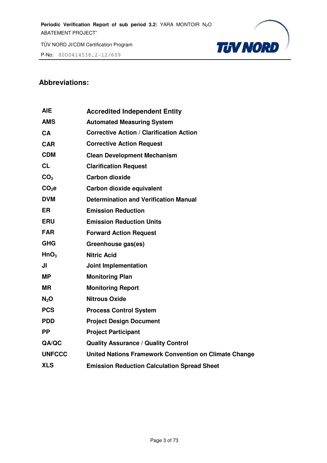P-No: 8000414538.2-12/609



## **Abbreviations:**

| <b>AIE</b>        | <b>Accredited Independent Entity</b>                  |
|-------------------|-------------------------------------------------------|
| <b>AMS</b>        | <b>Automated Measuring System</b>                     |
| <b>CA</b>         | <b>Corrective Action / Clarification Action</b>       |
| <b>CAR</b>        | <b>Corrective Action Request</b>                      |
| <b>CDM</b>        | <b>Clean Development Mechanism</b>                    |
| <b>CL</b>         | <b>Clarification Request</b>                          |
| CO <sub>2</sub>   | <b>Carbon dioxide</b>                                 |
| CO <sub>2</sub> e | Carbon dioxide equivalent                             |
| <b>DVM</b>        | <b>Determination and Verification Manual</b>          |
| <b>ER</b>         | <b>Emission Reduction</b>                             |
| <b>ERU</b>        | <b>Emission Reduction Units</b>                       |
| <b>FAR</b>        | <b>Forward Action Request</b>                         |
| <b>GHG</b>        | Greenhouse gas(es)                                    |
| HnO <sub>3</sub>  | <b>Nitric Acid</b>                                    |
| JI                | <b>Joint Implementation</b>                           |
| <b>MP</b>         | <b>Monitoring Plan</b>                                |
| <b>MR</b>         | <b>Monitoring Report</b>                              |
| $N_2$ O           | <b>Nitrous Oxide</b>                                  |
| <b>PCS</b>        | <b>Process Control System</b>                         |
| <b>PDD</b>        | <b>Project Design Document</b>                        |
| <b>PP</b>         | <b>Project Participant</b>                            |
| QA/QC             | <b>Quality Assurance / Quality Control</b>            |
| <b>UNFCCC</b>     | United Nations Framework Convention on Climate Change |
| <b>XLS</b>        | <b>Emission Reduction Calculation Spread Sheet</b>    |
|                   |                                                       |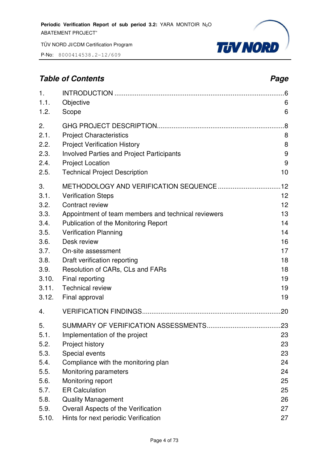P-No: 8000414538.2-12/609



## **Table of Contents** *Page Page Page Page Page Page Page Page Page Page Page Page Page Page Page Page Page Page Page Page Page Page Page Page Page Page Page Page Page*

| 1.<br>1.1.<br>1.2. | Objective<br>Scope                                  | 6<br>6 |
|--------------------|-----------------------------------------------------|--------|
| 2.                 |                                                     | .8     |
| 2.1.               | <b>Project Characteristics</b>                      | 8      |
| 2.2.               | <b>Project Verification History</b>                 | 8      |
| 2.3.               | <b>Involved Parties and Project Participants</b>    | 9      |
| 2.4.               | <b>Project Location</b>                             | 9      |
| 2.5.               | <b>Technical Project Description</b>                | 10     |
| 3.                 |                                                     | .12    |
| 3.1.               | <b>Verification Steps</b>                           | 12     |
| 3.2.               | Contract review                                     | 12     |
| 3.3.               | Appointment of team members and technical reviewers | 13     |
| 3.4.               | Publication of the Monitoring Report                | 14     |
| 3.5.               | <b>Verification Planning</b>                        | 14     |
| 3.6.               | Desk review                                         | 16     |
| 3.7.               | On-site assessment                                  | 17     |
| 3.8.               | Draft verification reporting                        | 18     |
| 3.9.               | Resolution of CARs, CLs and FARs                    | 18     |
| 3.10.              | Final reporting                                     | 19     |
| 3.11.              | <b>Technical review</b>                             | 19     |
| 3.12.              | Final approval                                      | 19     |
| 4.                 |                                                     | .20    |
| 5.                 |                                                     | .23    |
| 5.1.               | Implementation of the project                       | 23     |
| 5.2.               | Project history                                     | 23     |
| 5.3.               | Special events                                      | 23     |
| 5.4.               | Compliance with the monitoring plan                 | 24     |
| 5.5.               | Monitoring parameters                               | 24     |
| 5.6.               | Monitoring report                                   | 25     |
| 5.7.               | <b>ER Calculation</b>                               | 25     |
| 5.8.               | <b>Quality Management</b>                           | 26     |
| 5.9.               | Overall Aspects of the Verification                 | 27     |
| 5.10.              | Hints for next periodic Verification                | 27     |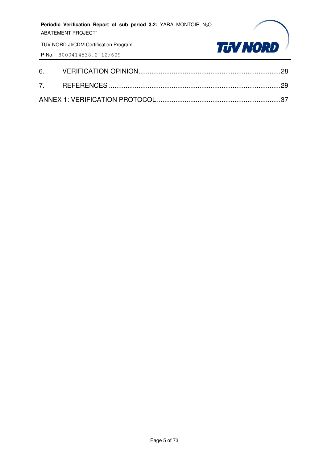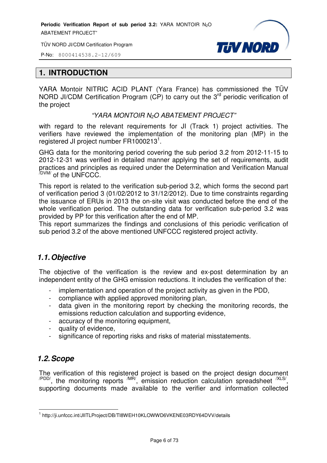TÜV NORD JI/CDM Certification Program



P-No: 8000414538.2-12/609

#### **1. INTRODUCTION**

YARA Montoir NITRIC ACID PLANT (Yara France) has commissioned the TÜV NORD JI/CDM Certification Program (CP) to carry out the 3<sup>rd</sup> periodic verification of the project

#### "YARA MONTOIR N2O ABATEMENT PROJECT"

with regard to the relevant requirements for JI (Track 1) project activities. The verifiers have reviewed the implementation of the monitoring plan (MP) in the registered JI project number FR1000213<sup>1</sup>.

GHG data for the monitoring period covering the sub period 3.2 from 2012-11-15 to 2012-12-31 was verified in detailed manner applying the set of requirements, audit practices and principles as required under the Determination and Verification Manual /DVM/ of the UNFCCC.

This report is related to the verification sub-period 3.2, which forms the second part of verification period 3 (01/02/2012 to 31/12/2012). Due to time constraints regarding the issuance of ERUs in 2013 the on-site visit was conducted before the end of the whole verification period. The outstanding data for verification sub-period 3.2 was provided by PP for this verification after the end of MP.

This report summarizes the findings and conclusions of this periodic verification of sub period 3.2 of the above mentioned UNFCCC registered project activity.

## *1.1. Objective*

The objective of the verification is the review and ex-post determination by an independent entity of the GHG emission reductions. It includes the verification of the:

- implementation and operation of the project activity as given in the PDD,
- compliance with applied approved monitoring plan,
- data given in the monitoring report by checking the monitoring records, the emissions reduction calculation and supporting evidence,
- accuracy of the monitoring equipment,
- quality of evidence,
- significance of reporting risks and risks of material misstatements.

#### *1.2. Scope*

The verification of this registered project is based on the project design document  $\alpha$ <sup>PDD/</sup>, the monitoring reports  $\alpha$ <sup>MR/</sup>, emission reduction calculation spreadsheet  $\alpha$ <sup>XLS/</sup>, supporting documents made available to the verifier and information collected

l <sup>1</sup> http://ji.unfccc.int/JIITLProject/DB/TI8WEH10KLOWWD6VKENE03RDY64DVV/details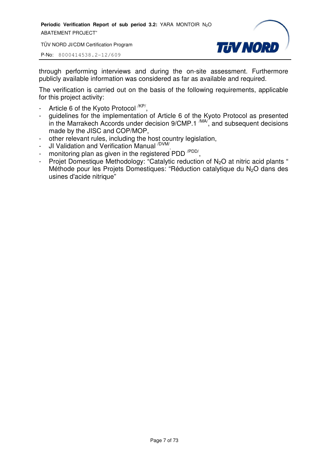TÜV NORD JI/CDM Certification Program

P-No: 8000414538.2-12/609



through performing interviews and during the on-site assessment. Furthermore publicly available information was considered as far as available and required.

The verification is carried out on the basis of the following requirements, applicable for this project activity:

- Article 6 of the Kyoto Protocol <sup>/KP/</sup>,
- guidelines for the implementation of Article 6 of the Kyoto Protocol as presented in the Marrakech Accords under decision  $9/CMP.1 \frac{MAV}{M}$ , and subsequent decisions made by the JISC and COP/MOP,
- other relevant rules, including the host country legislation,
- JI Validation and Verification Manual <sup>/DVM/</sup>,
- monitoring plan as given in the registered PDD<sup>/PDD/</sup>,
- Projet Domestique Methodology: "Catalytic reduction of N<sub>2</sub>O at nitric acid plants " Méthode pour les Projets Domestiques: "Réduction catalytique du N<sub>2</sub>O dans des usines d'acide nitrique"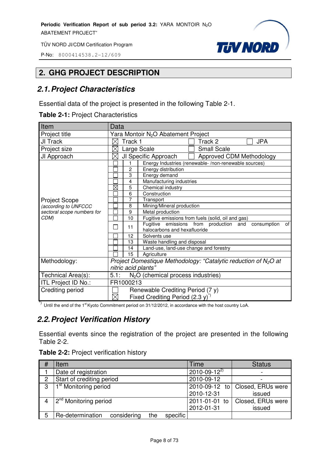P-No: 8000414538.2-12/609



## **2. GHG PROJECT DESCRIPTION**

## *2.1. Project Characteristics*

Essential data of the project is presented in the following Table 2-1.

**Table 2-1:** Project Characteristics

| Item                       | Data                                            |                     |                                                                                             |                                                                   |  |  |
|----------------------------|-------------------------------------------------|---------------------|---------------------------------------------------------------------------------------------|-------------------------------------------------------------------|--|--|
| Project title              | Yara Montoir N <sub>2</sub> O Abatement Project |                     |                                                                                             |                                                                   |  |  |
| JI Track                   | $\times$                                        | Track 1             |                                                                                             | <b>JPA</b><br>Track 2                                             |  |  |
| Project size               |                                                 | Large Scale         |                                                                                             | <b>Small Scale</b>                                                |  |  |
| JI Approach                | $\times$                                        |                     | JI Specific Approach                                                                        | Approved CDM Methodology                                          |  |  |
|                            |                                                 |                     | Energy Industries (renewable-/non-renewable sources)                                        |                                                                   |  |  |
|                            |                                                 | $\overline{2}$      | Energy distribution                                                                         |                                                                   |  |  |
|                            |                                                 | 3                   | Energy demand                                                                               |                                                                   |  |  |
|                            |                                                 | 4                   | Manufacturing industries                                                                    |                                                                   |  |  |
|                            | $\boxtimes$                                     | 5                   | Chemical industry                                                                           |                                                                   |  |  |
|                            |                                                 | 6                   | Construction                                                                                |                                                                   |  |  |
| <b>Project Scope</b>       |                                                 | 7                   | Transport                                                                                   |                                                                   |  |  |
| (according to UNFCCC       |                                                 | 8                   | Mining/Mineral production                                                                   |                                                                   |  |  |
| sectoral scope numbers for |                                                 | 9                   | Metal production                                                                            |                                                                   |  |  |
| CDM)                       |                                                 | 10                  | Fugitive emissions from fuels (solid, oil and gas)                                          |                                                                   |  |  |
|                            |                                                 | 11                  | Fugitive emissions from production and<br>of<br>consumption<br>halocarbons and hexafluoride |                                                                   |  |  |
|                            |                                                 | 12                  | Solvents use                                                                                |                                                                   |  |  |
|                            |                                                 | 13                  | Waste handling and disposal                                                                 |                                                                   |  |  |
|                            |                                                 | 14                  | Land-use, land-use change and forestry                                                      |                                                                   |  |  |
|                            |                                                 | 15                  | Agriculture                                                                                 |                                                                   |  |  |
| Methodology:               |                                                 |                     |                                                                                             | Project Domestique Methodology: "Catalytic reduction of $N_2O$ at |  |  |
|                            |                                                 | nitric acid plants" |                                                                                             |                                                                   |  |  |
| Technical Area(s):         | $N2O$ (chemical process industries)<br>5.1:     |                     |                                                                                             |                                                                   |  |  |
| ITL Project ID No.:        | FR1000213                                       |                     |                                                                                             |                                                                   |  |  |
| Crediting period           |                                                 |                     | Renewable Crediting Period (7 y)                                                            |                                                                   |  |  |
|                            | $\boxtimes$                                     |                     | Fixed Crediting Period $(2.3 y)^{1/2}$                                                      |                                                                   |  |  |

\*) Until the end of the 1<sup>st</sup> Kyoto Commitment period on 31/12/2012, in accordance with the host country LoA.

## *2.2. Project Verification History*

Essential events since the registration of the project are presented in the following Table 2-2.

| <b>Table 2-2: Project verification history</b> |  |  |
|------------------------------------------------|--|--|
|------------------------------------------------|--|--|

| #              | Item                                               | Time                 | <b>Status</b>     |
|----------------|----------------------------------------------------|----------------------|-------------------|
|                | Date of registration                               | $2010 - 09 - 12^{2}$ |                   |
| $\overline{2}$ | Start of crediting period                          | 2010-09-12           |                   |
| 3              | 1 <sup>st</sup> Monitoring period                  | 2010-09-12 to        | Closed, ERUs were |
|                |                                                    | 2010-12-31           | issued            |
|                | 2 <sup>nd</sup> Monitoring period                  | 2011-01-01 to        | Closed, ERUs were |
|                |                                                    | 2012-01-31           | issued            |
| 5              | Re-determination<br>considering<br>specific<br>the |                      |                   |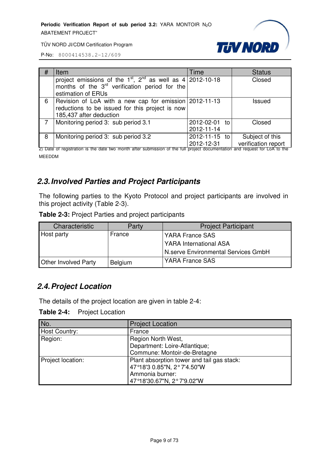

TÜV NORD JI/CDM Certification Program

P-No: 8000414538.2-12/609

| # | Item                                                                                                                                                          | Time                        | <b>Status</b>                          |
|---|---------------------------------------------------------------------------------------------------------------------------------------------------------------|-----------------------------|----------------------------------------|
|   | project emissions of the 1 <sup>st</sup> , 2 <sup>nd</sup> as well as $4 2012-10-18$<br>months of the $3rd$ verification period for the<br>estimation of ERUs |                             | Closed                                 |
| 6 | Revision of LoA with a new cap for emission 2012-11-13<br>reductions to be issued for this project is now<br>185,437 after deduction                          |                             | Issued                                 |
|   | Monitoring period 3: sub period 3.1                                                                                                                           | 2012-02-01 to<br>2012-11-14 | Closed                                 |
| 8 | Monitoring period 3: sub period 3.2                                                                                                                           | 2012-11-15 to<br>2012-12-31 | Subject of this<br>verification report |

2) Date of registration is the date two month after submission of the full project documentation and request for LoA to the MEEDDM

## *2.3. Involved Parties and Project Participants*

The following parties to the Kyoto Protocol and project participants are involved in this project activity (Table 2-3).

**Table 2-3:** Project Parties and project participants

| Characteristic              | Party   | <b>Project Participant</b>          |
|-----------------------------|---------|-------------------------------------|
| Host party                  | France  | YARA France SAS                     |
|                             |         | <b>YARA International ASA</b>       |
|                             |         | N.serve Environmental Services GmbH |
| <b>Other Involved Party</b> | Belgium | YARA France SAS                     |

#### *2.4. Project Location*

The details of the project location are given in table 2-4:

**Table 2-4:** Project Location

| No.               | <b>Project Location</b>                    |
|-------------------|--------------------------------------------|
| Host Country:     | France                                     |
| Region:           | Region North West,                         |
|                   | Department: Loire-Atlantique;              |
|                   | Commune: Montoir-de-Bretagne               |
| Project location: | Plant absorption tower and tail gas stack: |
|                   | 47°18'3 0.85"N, 2°7'4.50"W                 |
|                   | Ammonia burner:                            |
|                   | 47°18'30.67"N, 2°7'9.02"W                  |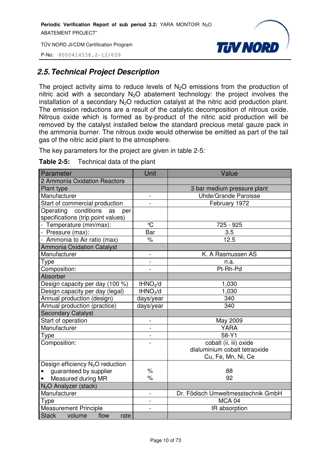P-No: 8000414538.2-12/609



## *2.5. Technical Project Description*

The project activity aims to reduce levels of  $N_2O$  emissions from the production of nitric acid with a secondary  $N_2O$  abatement technology: the project involves the installation of a secondary  $N_2O$  reduction catalyst at the nitric acid production plant. The emission reductions are a result of the catalytic decomposition of nitrous oxide. Nitrous oxide which is formed as by-product of the nitric acid production will be removed by the catalyst installed below the standard precious metal gauze pack in the ammonia burner. The nitrous oxide would otherwise be emitted as part of the tail gas of the nitric acid plant to the atmosphere.

The key parameters for the project are given in table 2-5:

| <b>Table 2-5:</b> | Technical data of the plant |
|-------------------|-----------------------------|
|-------------------|-----------------------------|

| Parameter                                    | Unit                         | Value                              |
|----------------------------------------------|------------------------------|------------------------------------|
| 2 Ammonia Oxidation Reactors                 |                              |                                    |
| Plant type                                   |                              | 3 bar medium pressure plant        |
| Manufacturer                                 | -                            | <b>Uhde/Grande Paroisse</b>        |
| Start of commercial production               | $\overline{a}$               | February 1972                      |
| conditions<br>Operating<br>as<br>per         |                              |                                    |
| specifications (trip point values)           |                              |                                    |
| - Temperature (min/max):                     | °C                           | 725 - 925                          |
| - Pressure (max):                            | Bar                          | 3.5                                |
| - Ammonia to Air ratio (max)                 | $\%$                         | 12.5                               |
| <b>Ammonia Oxidation Catalyst</b>            |                              |                                    |
| Manufacturer                                 | $\overline{a}$               | K. A Rasmussen AS                  |
| Type                                         | $\qquad \qquad \blacksquare$ | n.a.                               |
| Composition:                                 |                              | Pt-Rh-Pd                           |
| Absorber                                     |                              |                                    |
| Design capacity per day (100 %)              | tHNO <sub>3</sub> /d         | 1,030                              |
| Design capacity per day (legal)              | tHNO <sub>3</sub> /d         | 1,030                              |
| Annual production (design)                   | days/year                    | 340                                |
| Annual production (practice)                 | days/year                    | 340                                |
| <b>Secondary Catalyst</b>                    |                              |                                    |
| Start of operation                           | $\overline{a}$               | May 2009                           |
| Manufacturer                                 | $\overline{\phantom{0}}$     | <b>YARA</b>                        |
| Type                                         | $\overline{a}$               | 58-Y1                              |
| Composition:                                 |                              | cobalt (ii, iii) oxide             |
|                                              |                              | dialuminium cobalt tetraoxide      |
|                                              |                              | Cu, Fe, Mn, Ni, Ce                 |
| Design efficiency N <sub>2</sub> O reduction |                              |                                    |
| guaranteed by supplier<br>$\bullet$          | $\%$                         | 88                                 |
| Measured during MR<br>$\bullet$              | $\%$                         | 92                                 |
| N <sub>2</sub> O Analyzer (stack)            |                              |                                    |
| Manufacturer                                 | $\overline{a}$               | Dr. Födisch Umweltmesstechnik GmbH |
| Type                                         | $\overline{a}$               | MCA <sub>04</sub>                  |
| <b>Measurement Principle</b>                 |                              | IR absorption                      |
| flow<br>Stack volume<br>rate                 |                              |                                    |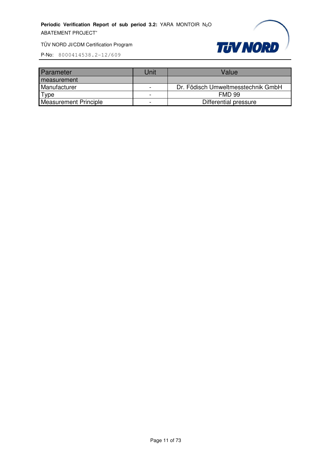

| <b>Parameter</b>      | Jnit                     | Value                              |
|-----------------------|--------------------------|------------------------------------|
| measurement           |                          |                                    |
| Manufacturer          | $\overline{\phantom{0}}$ | Dr. Födisch Umweltmesstechnik GmbH |
| $\tau_{\texttt{VDE}}$ | -                        | <b>FMD 99</b>                      |
| Measurement Principle |                          | Differential pressure              |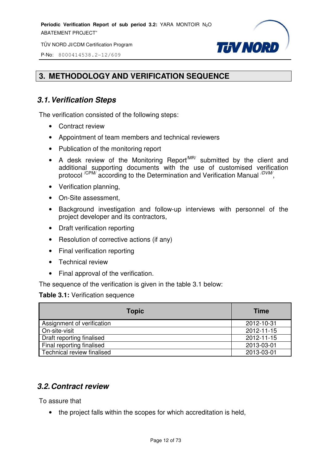TÜV NORD JI/CDM Certification Program

**TUV NORD** 

P-No: 8000414538.2-12/609

## **3. METHODOLOGY AND VERIFICATION SEQUENCE**

## *3.1. Verification Steps*

The verification consisted of the following steps:

- Contract review
- Appointment of team members and technical reviewers
- Publication of the monitoring report
- A desk review of the Monitoring Report<sup>MR/</sup> submitted by the client and additional supporting documents with the use of customised verification protocol <sup>/CPM/</sup> according to the Determination and Verification Manual <sup>/DVM/</sup>,
- Verification planning,
- On-Site assessment,
- Background investigation and follow-up interviews with personnel of the project developer and its contractors,
- Draft verification reporting
- Resolution of corrective actions (if any)
- Final verification reporting
- Technical review
- Final approval of the verification.

The sequence of the verification is given in the table 3.1 below:

#### **Table 3.1:** Verification sequence

| <b>Topic</b>               | <b>Time</b> |
|----------------------------|-------------|
| Assignment of verification | 2012-10-31  |
| On-site-visit              | 2012-11-15  |
| Draft reporting finalised  | 2012-11-15  |
| Final reporting finalised  | 2013-03-01  |
| Technical review finalised | 2013-03-01  |

#### *3.2. Contract review*

To assure that

• the project falls within the scopes for which accreditation is held,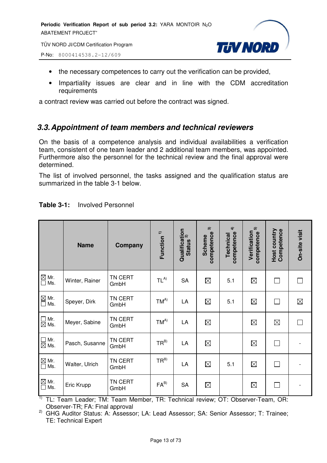TÜV NORD JI/CDM Certification Program

P-No: 8000414538.2-12/609



- the necessary competences to carry out the verification can be provided,
- Impartiality issues are clear and in line with the CDM accreditation requirements

a contract review was carried out before the contract was signed.

## *3.3. Appointment of team members and technical reviewers*

On the basis of a competence analysis and individual availabilities a verification team, consistent of one team leader and 2 additional team members, was appointed. Furthermore also the personnel for the technical review and the final approval were determined.

The list of involved personnel, the tasks assigned and the qualification status are summarized in the table 3-1 below.

|                                                        | <b>Name</b>    | Company         | Function <sup>1)</sup> | Qualification<br>မောင်းပေး<br><b>Status</b> | $\widehat{\mathfrak{m}}$<br>competence<br><b>Scheme</b> | $\widehat{\mathbf{f}}$<br>competence<br>Technical | ົດ<br>Verification<br>competence | Competence<br>Host country | On-site visit |
|--------------------------------------------------------|----------------|-----------------|------------------------|---------------------------------------------|---------------------------------------------------------|---------------------------------------------------|----------------------------------|----------------------------|---------------|
| $\frac{\boxtimes}{\Box}$ Mr.<br>Ms.                    | Winter, Rainer | TN CERT<br>GmbH | $TL^{A)}$              | <b>SA</b>                                   | $\boxtimes$                                             | 5.1                                               | $\boxtimes$                      | $\Box$                     |               |
| $\mathbb{Z}$ Mr.<br>$\Box$ Ms.                         | Speyer, Dirk   | TN CERT<br>GmbH | $TM^{A)}$              | LA                                          | $\boxtimes$                                             | 5.1                                               | $\boxtimes$                      | $\Box$                     | $\boxtimes$   |
| $\overline{\phantom{a}}$<br>Mr.<br>$\boxtimes$ Ms.     | Meyer, Sabine  | TN CERT<br>GmbH | $TM^{A)}$              | LA                                          | $\boxtimes$                                             |                                                   | $\boxtimes$                      | $\boxtimes$                | П             |
| $\Box$ Mr.<br>$\boxtimes$ Ms.                          | Pasch, Susanne | TN CERT<br>GmbH | $TR^{B)}$              | LA                                          | $\boxtimes$                                             |                                                   | $\boxtimes$                      | $\Box$                     |               |
| $\overline{\text{M}}$ Mr.<br>$\overline{\text{M}}$ Ms. | Walter, Ulrich | TN CERT<br>GmbH | $TR^{B}$               | LA                                          | $\boxtimes$                                             | 5.1                                               | $\boxtimes$                      | $\Box$                     |               |
| $\overline{\text{M}}$ Mr.<br>$\overline{\text{M}}$ Ms. | Eric Krupp     | TN CERT<br>GmbH | $FA^{B}$               | <b>SA</b>                                   | $\boxtimes$                                             |                                                   | $\boxtimes$                      | П                          |               |

#### **Table 3-1:** Involved Personnel

 $1$ <sup>1)</sup> TL: Team Leader; TM: Team Member, TR: Technical review; OT: Observer-Team, OR: Observer-TR; FA: Final approval

<sup>2)</sup> GHG Auditor Status: A: Assessor; LA: Lead Assessor; SA: Senior Assessor; T: Trainee; TE: Technical Expert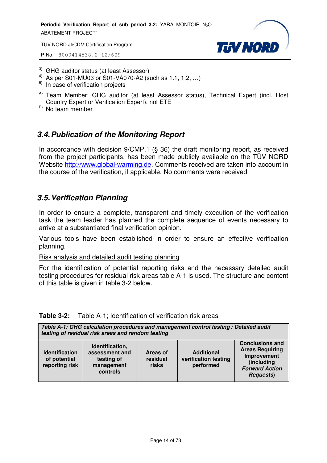TÜV NORD JI/CDM Certification Program

P-No: 8000414538.2-12/609



- 3) GHG auditor status (at least Assessor)
- <sup>4)</sup> As per S01-MU03 or S01-VA070-A2 (such as 1.1, 1.2, ...)
- $5)$  In case of verification projects
- <sup>A)</sup> Team Member: GHG auditor (at least Assessor status), Technical Expert (incl. Host Country Expert or Verification Expert), not ETE
- $B)$  No team member

## *3.4. Publication of the Monitoring Report*

In accordance with decision 9/CMP.1 (§ 36) the draft monitoring report, as received from the project participants, has been made publicly available on the TÜV NORD Website http://www.global-warming.de. Comments received are taken into account in the course of the verification, if applicable. No comments were received.

#### *3.5. Verification Planning*

In order to ensure a complete, transparent and timely execution of the verification task the team leader has planned the complete sequence of events necessary to arrive at a substantiated final verification opinion.

Various tools have been established in order to ensure an effective verification planning.

Risk analysis and detailed audit testing planning

For the identification of potential reporting risks and the necessary detailed audit testing procedures for residual risk areas table A-1 is used. The structure and content of this table is given in table 3-2 below.

|  | <b>Table 3-2:</b> Table A-1; Identification of verification risk areas |
|--|------------------------------------------------------------------------|
|--|------------------------------------------------------------------------|

| Table A-1: GHG calculation procedures and management control testing / Detailed audit<br>testing of residual risk areas and random testing |                                                                           |                               |                                                        |                                                                                                                             |
|--------------------------------------------------------------------------------------------------------------------------------------------|---------------------------------------------------------------------------|-------------------------------|--------------------------------------------------------|-----------------------------------------------------------------------------------------------------------------------------|
| <b>Identification</b><br>of potential<br>reporting risk                                                                                    | Identification,<br>assessment and<br>testing of<br>management<br>controls | Areas of<br>residual<br>risks | <b>Additional</b><br>verification testing<br>performed | <b>Conclusions and</b><br><b>Areas Requiring</b><br>Improvement<br>(including<br><b>Forward Action</b><br><b>Requests</b> ) |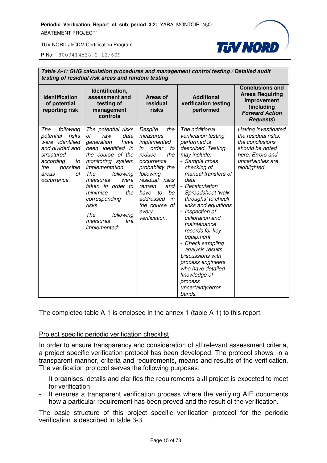

P-No: 8000414538.2-12/609

|                                                                                                                                                                | Table A-1: GHG calculation procedures and management control testing / Detailed audit<br>testing of residual risk areas and random testing                                                                                                                                                                          |                                                                                                                                                                                                                                                    |                                                                                                                                                                                                                                                                                                                                                                                                                                                                                                                 |                                                                                                                                           |  |
|----------------------------------------------------------------------------------------------------------------------------------------------------------------|---------------------------------------------------------------------------------------------------------------------------------------------------------------------------------------------------------------------------------------------------------------------------------------------------------------------|----------------------------------------------------------------------------------------------------------------------------------------------------------------------------------------------------------------------------------------------------|-----------------------------------------------------------------------------------------------------------------------------------------------------------------------------------------------------------------------------------------------------------------------------------------------------------------------------------------------------------------------------------------------------------------------------------------------------------------------------------------------------------------|-------------------------------------------------------------------------------------------------------------------------------------------|--|
| <b>Identification</b><br>of potential<br>reporting risk                                                                                                        | Identification,<br>assessment and<br>testing of<br>management<br>controls                                                                                                                                                                                                                                           | <b>Areas of</b><br>residual<br>risks                                                                                                                                                                                                               | <b>Additional</b><br>verification testing<br>performed                                                                                                                                                                                                                                                                                                                                                                                                                                                          | <b>Conclusions and</b><br><b>Areas Requiring</b><br>Improvement<br>(including<br><b>Forward Action</b><br><b>Requests</b> )               |  |
| The<br>following<br>risks<br>potential<br>were identified<br>and divided and<br>structured<br>according<br>to<br>possible<br>the<br>οf<br>areas<br>occurrence. | The potential risks<br>data<br>οf<br>raw<br>generation<br>have<br>been identified in<br>the course of the<br>monitoring system<br>implementation.<br>The<br>following<br>measures<br>were<br>taken in order to<br>minimize<br>the<br>corresponding<br>risks.<br>The<br>following<br>measures<br>are<br>implemented: | Despite<br>the<br>measures<br>implemented<br>order<br>in<br>to<br>reduce<br>the<br>occurrence<br>probability the<br>following<br>residual risks<br>remain<br>and<br>to<br>be<br>have<br>addressed<br>in<br>the course of<br>every<br>verification. | The additional<br>verification testing<br>performed is<br>described. Testing<br>may include:<br>- Sample cross<br>checking of<br>manual transfers of<br>data<br>- Recalculation<br>- Spreadsheet 'walk<br>throughs' to check<br>links and equations<br>- Inspection of<br>calibration and<br>maintenance<br>records for key<br>equipment<br>- Check sampling<br>analysis results<br><b>Discussions with</b><br>process engineers<br>who have detailed<br>knowledge of<br>process<br>uncertainty/error<br>bands. | Having investigated<br>the residual risks,<br>the conclusions<br>should be noted<br>here. Errors and<br>uncertainties are<br>highlighted. |  |

The completed table A-1 is enclosed in the annex 1 (table A-1) to this report.

#### Project specific periodic verification checklist

In order to ensure transparency and consideration of all relevant assessment criteria, a project specific verification protocol has been developed. The protocol shows, in a transparent manner, criteria and requirements, means and results of the verification. The verification protocol serves the following purposes:

- It organises, details and clarifies the requirements a JI project is expected to meet for verification
- It ensures a transparent verification process where the verifying AIE documents how a particular requirement has been proved and the result of the verification.

The basic structure of this project specific verification protocol for the periodic verification is described in table 3-3.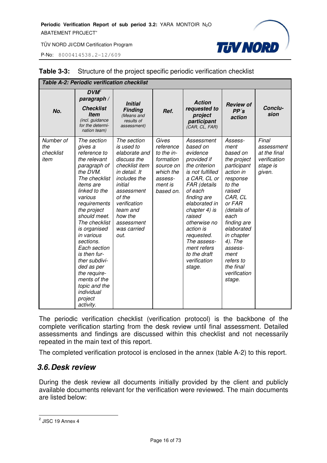P-No: 8000414538.2-12/609



| <b>Table A-2: Periodic verification checklist</b> |                                                                                                                                                                                                                                                                                                                                                                                                                      |                                                                                                                                                                                                                             |                                                                                                            |                                                                                                                                                                                                                                                                                                                 |                                                                                                                                                                                                                                                                                 |                                                                           |
|---------------------------------------------------|----------------------------------------------------------------------------------------------------------------------------------------------------------------------------------------------------------------------------------------------------------------------------------------------------------------------------------------------------------------------------------------------------------------------|-----------------------------------------------------------------------------------------------------------------------------------------------------------------------------------------------------------------------------|------------------------------------------------------------------------------------------------------------|-----------------------------------------------------------------------------------------------------------------------------------------------------------------------------------------------------------------------------------------------------------------------------------------------------------------|---------------------------------------------------------------------------------------------------------------------------------------------------------------------------------------------------------------------------------------------------------------------------------|---------------------------------------------------------------------------|
| No.                                               | $DVM^2$<br>paragraph /<br><b>Checklist</b><br><b>Item</b><br>(incl. guidance<br>for the determi-<br>nation team)                                                                                                                                                                                                                                                                                                     | <b>Initial</b><br><b>Finding</b><br>(Means and<br>results of<br>assessment)                                                                                                                                                 | Ref.                                                                                                       | <b>Action</b><br>requested to<br>project<br>participant<br>(CAR, CL, FAR)                                                                                                                                                                                                                                       | <b>Review of</b><br>PP's<br>action                                                                                                                                                                                                                                              | Conclu-<br>sion                                                           |
| Number of<br>the<br>checklist<br>item             | The section<br>gives a<br>reference to<br>the relevant<br>paragraph of<br>the DVM.<br>The checklist<br><i>items are</i><br>linked to the<br>various<br>requirements<br>the project<br>should meet.<br>The checklist<br>is organised<br>in various<br>sections.<br>Each section<br>is then fur-<br>ther subdivi-<br>ded as per<br>the require-<br>ments of the<br>topic and the<br>individual<br>project<br>activity. | The section<br>is used to<br>elaborate and<br>discuss the<br>checklist item<br>in detail. It<br>includes the<br>initial<br>assessment<br>of the<br>verification<br>team and<br>how the<br>assessment<br>was carried<br>out. | Gives<br>reference<br>to the in-<br>formation<br>source on<br>which the<br>assess-<br>ment is<br>based on. | Assessment<br>based on<br>evidence<br>provided if<br>the criterion<br>is not fulfilled<br>a CAR, CL or<br>FAR (details<br>of each<br>finding are<br>elaborated in<br>chapter 4) is<br>raised<br>otherwise no<br>action is<br>requested.<br>The assess-<br>ment refers<br>to the draft<br>verification<br>stage. | Assess-<br>ment<br>based on<br>the project<br>participant<br>action in<br>response<br>to the<br>raised<br>CAR, CL<br>or FAR<br>(details of<br>each<br>finding are<br>elaborated<br>in chapter<br>4). The<br>assess-<br>ment<br>refers to<br>the final<br>verification<br>stage. | Final<br>assessment<br>at the final<br>verification<br>stage is<br>given. |

#### **Table 3-3:** Structure of the project specific periodic verification checklist

The periodic verification checklist (verification protocol) is the backbone of the complete verification starting from the desk review until final assessment. Detailed assessments and findings are discussed within this checklist and not necessarily repeated in the main text of this report.

The completed verification protocol is enclosed in the annex (table A-2) to this report.

#### *3.6. Desk review*

During the desk review all documents initially provided by the client and publicly available documents relevant for the verification were reviewed. The main documents are listed below:

<sup>&</sup>lt;u>2</u><br>2 JISC 19 Annex 4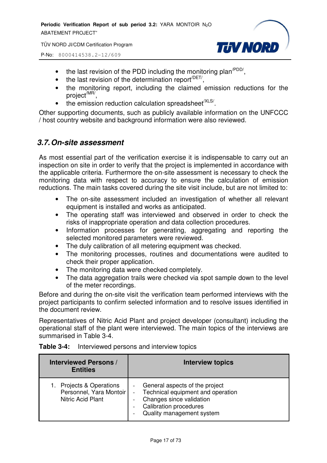P-No: 8000414538.2-12/609



- the last revision of the PDD including the monitoring plan<sup> $PDD/$ </sup>,
- $\bullet$  the last revision of the determination report<sup> $/$ DET/</sup>,
- the monitoring report, including the claimed emission reductions for the project<sup>/MR/</sup>,
- $\bullet$  the emission reduction calculation spreadsheet<sup>/XLS/</sup>.

Other supporting documents, such as publicly available information on the UNFCCC / host country website and background information were also reviewed.

#### *3.7. On-site assessment*

As most essential part of the verification exercise it is indispensable to carry out an inspection on site in order to verify that the project is implemented in accordance with the applicable criteria. Furthermore the on-site assessment is necessary to check the monitoring data with respect to accuracy to ensure the calculation of emission reductions. The main tasks covered during the site visit include, but are not limited to:

- The on-site assessment included an investigation of whether all relevant equipment is installed and works as anticipated.
- The operating staff was interviewed and observed in order to check the risks of inappropriate operation and data collection procedures.
- Information processes for generating, aggregating and reporting the selected monitored parameters were reviewed.
- The duly calibration of all metering equipment was checked.
- The monitoring processes, routines and documentations were audited to check their proper application.
- The monitoring data were checked completely.
- The data aggregation trails were checked via spot sample down to the level of the meter recordings.

Before and during the on-site visit the verification team performed interviews with the project participants to confirm selected information and to resolve issues identified in the document review.

Representatives of Nitric Acid Plant and project developer (consultant) including the operational staff of the plant were interviewed. The main topics of the interviews are summarised in Table 3-4.

| <b>Interviewed Persons /</b><br><b>Entities</b>                       | <b>Interview topics</b>                                                                                                                                         |
|-----------------------------------------------------------------------|-----------------------------------------------------------------------------------------------------------------------------------------------------------------|
| Projects & Operations<br>Personnel, Yara Montoir<br>Nitric Acid Plant | - General aspects of the project<br>Technical equipment and operation<br>Changes since validation<br><b>Calibration procedures</b><br>Quality management system |

#### **Table 3-4:** Interviewed persons and interview topics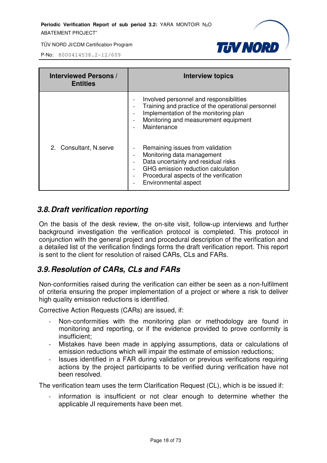

P-No: 8000414538.2-12/609

| <b>Interviewed Persons /</b><br><b>Entities</b> | <b>Interview topics</b>                                                                                                                                                                                                                                                                           |
|-------------------------------------------------|---------------------------------------------------------------------------------------------------------------------------------------------------------------------------------------------------------------------------------------------------------------------------------------------------|
|                                                 | Involved personnel and responsibilities<br>Training and practice of the operational personnel<br>Implementation of the monitoring plan<br>$\overline{\phantom{0}}$<br>Monitoring and measurement equipment<br>$\overline{\phantom{a}}$<br>Maintenance                                             |
| 2. Consultant, N.serve                          | Remaining issues from validation<br>Monitoring data management<br>$\overline{\phantom{0}}$<br>Data uncertainty and residual risks<br>GHG emission reduction calculation<br>$\overline{\phantom{a}}$<br>Procedural aspects of the verification<br>$\overline{\phantom{a}}$<br>Environmental aspect |

## *3.8. Draft verification reporting*

On the basis of the desk review, the on-site visit, follow-up interviews and further background investigation the verification protocol is completed. This protocol in conjunction with the general project and procedural description of the verification and a detailed list of the verification findings forms the draft verification report. This report is sent to the client for resolution of raised CARs, CLs and FARs.

## *3.9. Resolution of CARs, CLs and FARs*

Non-conformities raised during the verification can either be seen as a non-fulfilment of criteria ensuring the proper implementation of a project or where a risk to deliver high quality emission reductions is identified.

Corrective Action Requests (CARs) are issued, if:

- Non-conformities with the monitoring plan or methodology are found in monitoring and reporting, or if the evidence provided to prove conformity is insufficient;
- Mistakes have been made in applying assumptions, data or calculations of emission reductions which will impair the estimate of emission reductions;
- Issues identified in a FAR during validation or previous verifications requiring actions by the project participants to be verified during verification have not been resolved.

The verification team uses the term Clarification Request (CL), which is be issued if:

- information is insufficient or not clear enough to determine whether the applicable JI requirements have been met.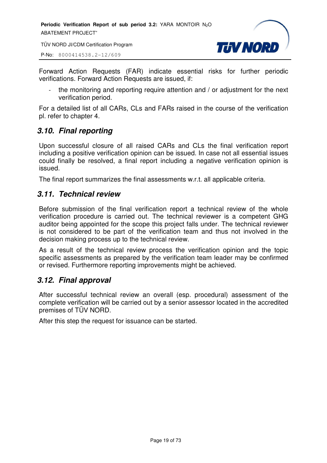TÜV NORD JI/CDM Certification Program

P-No: 8000414538.2-12/609



Forward Action Requests (FAR) indicate essential risks for further periodic verifications. Forward Action Requests are issued, if:

- the monitoring and reporting require attention and / or adjustment for the next verification period.

For a detailed list of all CARs, CLs and FARs raised in the course of the verification pl. refer to chapter 4.

## *3.10. Final reporting*

Upon successful closure of all raised CARs and CLs the final verification report including a positive verification opinion can be issued. In case not all essential issues could finally be resolved, a final report including a negative verification opinion is issued.

The final report summarizes the final assessments w.r.t. all applicable criteria.

#### *3.11. Technical review*

Before submission of the final verification report a technical review of the whole verification procedure is carried out. The technical reviewer is a competent GHG auditor being appointed for the scope this project falls under. The technical reviewer is not considered to be part of the verification team and thus not involved in the decision making process up to the technical review.

As a result of the technical review process the verification opinion and the topic specific assessments as prepared by the verification team leader may be confirmed or revised. Furthermore reporting improvements might be achieved.

#### *3.12. Final approval*

After successful technical review an overall (esp. procedural) assessment of the complete verification will be carried out by a senior assessor located in the accredited premises of TÜV NORD.

After this step the request for issuance can be started.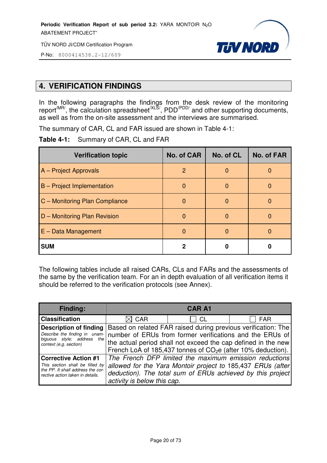

P-No: 8000414538.2-12/609

## **4. VERIFICATION FINDINGS**

In the following paragraphs the findings from the desk review of the monitoring report<sup>/MR/</sup>, the calculation spreadsheet<sup>/XLS/</sup>, PDD<sup>/PDD/</sup> and other supporting documents, as well as from the on-site assessment and the interviews are summarised.

The summary of CAR, CL and FAR issued are shown in Table 4-1:

**Table 4-1:** Summary of CAR, CL and FAR

| <b>Verification topic</b>      | <b>No. of CAR</b> | No. of CL | <b>No. of FAR</b> |
|--------------------------------|-------------------|-----------|-------------------|
| A - Project Approvals          | $\mathcal{P}$     | O         |                   |
| B - Project Implementation     | $\Omega$          | O         | 0                 |
| C - Monitoring Plan Compliance | <sup>0</sup>      | O         |                   |
| D - Monitoring Plan Revision   |                   | O         |                   |
| $E - Data Management$          | O                 |           |                   |
| <b>SUM</b>                     | 2                 |           |                   |

The following tables include all raised CARs, CLs and FARs and the assessments of the same by the verification team. For an in depth evaluation of all verification items it should be referred to the verification protocols (see Annex).

| <b>Finding:</b>                                                      |                                                                          | <b>CAR A1</b> |                                                               |  |
|----------------------------------------------------------------------|--------------------------------------------------------------------------|---------------|---------------------------------------------------------------|--|
| <b>Classification</b>                                                | $\boxtimes$ CAR                                                          | CL            | <b>FAR</b>                                                    |  |
| <b>Description of finding</b>                                        |                                                                          |               | Based on related FAR raised during previous verification: The |  |
| Describe the finding in unam-<br>biguous style; address<br>the I     |                                                                          |               | number of ERUs from former verifications and the ERUs of      |  |
| context (e.g. section)                                               | the actual period shall not exceed the cap defined in the new            |               |                                                               |  |
|                                                                      | French LoA of 185,437 tonnes of CO <sub>2</sub> e (after 10% deduction). |               |                                                               |  |
| <b>Corrective Action #1</b>                                          |                                                                          |               | The French DFP limited the maximum emission reductions        |  |
| This section shall be filled by<br>the PP. It shall address the cor- | allowed for the Yara Montoir project to 185,437 ERUs (after              |               |                                                               |  |
| rective action taken in details.                                     |                                                                          |               | deduction). The total sum of ERUs achieved by this project    |  |
|                                                                      | activity is below this cap.                                              |               |                                                               |  |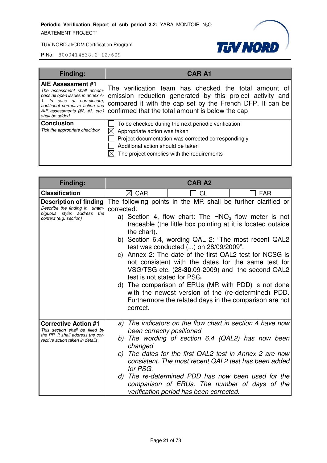

| <b>Finding:</b>                                                                                                                                                                                                 | <b>CAR A1</b>                                                                                                                                                                                                                       |
|-----------------------------------------------------------------------------------------------------------------------------------------------------------------------------------------------------------------|-------------------------------------------------------------------------------------------------------------------------------------------------------------------------------------------------------------------------------------|
| <b>AIE Assessment #1</b><br>The assessment shall encom-<br>pass all open issues in annex A-<br>In case of non-closure,<br>additional corrective action and<br>AIE assessments (#2, #3, etc.)<br>shall be added. | The verification team has checked the total amount of<br>emission reduction generated by this project activity and<br>compared it with the cap set by the French DFP. It can be<br>confirmed that the total amount is below the cap |
| <b>Conclusion</b><br>Tick the appropriate checkbox                                                                                                                                                              | To be checked during the next periodic verification<br>Appropriate action was taken<br>Project documentation was corrected correspondingly<br>Additional action should be taken<br>The project complies with the requirements       |

| Finding:                                                                                                                                |                                                                      | <b>CAR A2</b>                                                                                                                                                                                                                                                                                                                                                                                                                                                                                                                                                                                                                             |            |
|-----------------------------------------------------------------------------------------------------------------------------------------|----------------------------------------------------------------------|-------------------------------------------------------------------------------------------------------------------------------------------------------------------------------------------------------------------------------------------------------------------------------------------------------------------------------------------------------------------------------------------------------------------------------------------------------------------------------------------------------------------------------------------------------------------------------------------------------------------------------------------|------------|
| <b>Classification</b>                                                                                                                   | $\boxtimes$ CAR                                                      | CL                                                                                                                                                                                                                                                                                                                                                                                                                                                                                                                                                                                                                                        | <b>FAR</b> |
| <b>Description of finding</b><br>Describe the finding in unam-<br>biguous style; address<br>the<br>context (e.g. section)               | corrected:<br>the chart).<br>test is not stated for PSG.<br>correct. | The following points in the MR shall be further clarified or<br>a) Section 4, flow chart: The $HNO3$ flow meter is not<br>traceable (the little box pointing at it is located outside<br>b) Section 6.4, wording QAL 2: "The most recent QAL2<br>test was conducted $()$ on $28/09/2009"$ .<br>c) Annex 2: The date of the first QAL2 test for NCSG is<br>not consistent with the dates for the same test for<br>VSG/TSG etc. (28-30.09-2009) and the second QAL2<br>d) The comparison of ERUs (MR with PDD) is not done<br>with the newest version of the (re-determined) PDD.<br>Furthermore the related days in the comparison are not |            |
| <b>Corrective Action #1</b><br>This section shall be filled by<br>the PP. It shall address the cor-<br>rective action taken in details. | a)<br>been correctly positioned<br>b)<br>changed<br>for PSG.         | The indicators on the flow chart in section 4 have now<br>The wording of section 6.4 (QAL2) has now been<br>c) The dates for the first QAL2 test in Annex 2 are now<br>consistent. The most recent QAL2 test has been added<br>d) The re-determined PDD has now been used for the<br>comparison of ERUs. The number of days of the<br>verification period has been corrected.                                                                                                                                                                                                                                                             |            |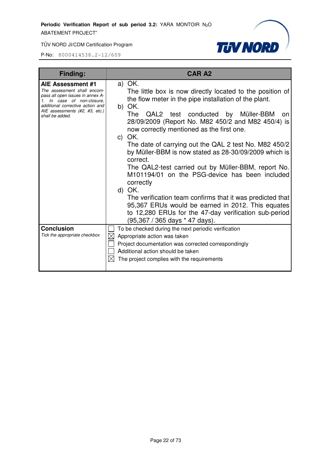

| Finding:                                                                                                                                                                                                    | <b>CAR A2</b>                                                                                                                                                                                                                                                                                                                                                                                                                                                                                                                                                                                                                                                                                                                                                                            |
|-------------------------------------------------------------------------------------------------------------------------------------------------------------------------------------------------------------|------------------------------------------------------------------------------------------------------------------------------------------------------------------------------------------------------------------------------------------------------------------------------------------------------------------------------------------------------------------------------------------------------------------------------------------------------------------------------------------------------------------------------------------------------------------------------------------------------------------------------------------------------------------------------------------------------------------------------------------------------------------------------------------|
| AIE Assessment #1<br>The assessment shall encom-<br>pass all open issues in annex A-<br>1. In case of non-closure,<br>additional corrective action and<br>AIE assessments (#2, #3, etc.)<br>shall be added. | a) OK.<br>The little box is now directly located to the position of<br>the flow meter in the pipe installation of the plant.<br>b) OK.<br>QAL2 test conducted by Müller-BBM<br><b>The</b><br>on.<br>28/09/2009 (Report No. M82 450/2 and M82 450/4) is<br>now correctly mentioned as the first one.<br>c) OK.<br>The date of carrying out the QAL 2 test No. M82 450/2<br>by Müller-BBM is now stated as 28-30/09/2009 which is<br>correct.<br>The QAL2-test carried out by Müller-BBM, report No.<br>M101194/01 on the PSG-device has been included<br>correctly<br>d) OK.<br>The verification team confirms that it was predicted that<br>95,367 ERUs would be earned in 2012. This equates<br>to 12,280 ERUs for the 47-day verification sub-period<br>(95,367 / 365 days * 47 days). |
| <b>Conclusion</b>                                                                                                                                                                                           | To be checked during the next periodic verification                                                                                                                                                                                                                                                                                                                                                                                                                                                                                                                                                                                                                                                                                                                                      |
| Tick the appropriate checkbox                                                                                                                                                                               | Appropriate action was taken                                                                                                                                                                                                                                                                                                                                                                                                                                                                                                                                                                                                                                                                                                                                                             |
|                                                                                                                                                                                                             | Project documentation was corrected correspondingly<br>Additional action should be taken                                                                                                                                                                                                                                                                                                                                                                                                                                                                                                                                                                                                                                                                                                 |
|                                                                                                                                                                                                             | The project complies with the requirements                                                                                                                                                                                                                                                                                                                                                                                                                                                                                                                                                                                                                                                                                                                                               |
|                                                                                                                                                                                                             |                                                                                                                                                                                                                                                                                                                                                                                                                                                                                                                                                                                                                                                                                                                                                                                          |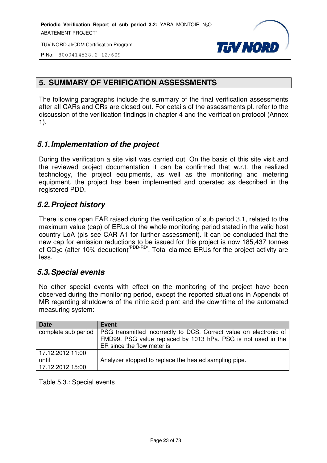

P-No: 8000414538.2-12/609

## **5. SUMMARY OF VERIFICATION ASSESSMENTS**

The following paragraphs include the summary of the final verification assessments after all CARs and CRs are closed out. For details of the assessments pl. refer to the discussion of the verification findings in chapter 4 and the verification protocol (Annex 1).

## *5.1. Implementation of the project*

During the verification a site visit was carried out. On the basis of this site visit and the reviewed project documentation it can be confirmed that w.r.t. the realized technology, the project equipments, as well as the monitoring and metering equipment, the project has been implemented and operated as described in the registered PDD.

## *5.2. Project history*

There is one open FAR raised during the verification of sub period 3.1, related to the maximum value (cap) of ERUs of the whole monitoring period stated in the valid host country LoA (pls see CAR A1 for further assessment). It can be concluded that the new cap for emission reductions to be issued for this project is now 185,437 tonnes of CO<sub>2</sub>e (after 10% deduction)<sup>/PDD-RD</sup>. Total claimed ERUs for the project activity are less.

#### *5.3. Special events*

No other special events with effect on the monitoring of the project have been observed during the monitoring period, except the reported situations in Appendix of MR regarding shutdowns of the nitric acid plant and the downtime of the automated measuring system:

| <b>Date</b>         | Event                                                              |
|---------------------|--------------------------------------------------------------------|
| complete sub period | PSG transmitted incorrectly to DCS. Correct value on electronic of |
|                     | FMD99. PSG value replaced by 1013 hPa. PSG is not used in the      |
|                     | ER since the flow meter is                                         |
| 17.12.2012 11:00    |                                                                    |
| until               | Analyzer stopped to replace the heated sampling pipe.              |
| 17.12.2012 15:00    |                                                                    |

Table 5.3.: Special events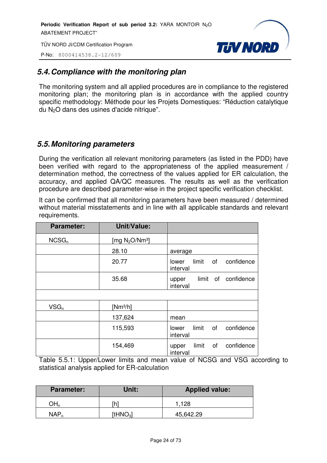P-No: 8000414538.2-12/609



## *5.4. Compliance with the monitoring plan*

The monitoring system and all applied procedures are in compliance to the registered monitoring plan; the monitoring plan is in accordance with the applied country specific methodology: Méthode pour les Projets Domestiques: "Réduction catalytique du N2O dans des usines d'acide nitrique".

## *5.5. Monitoring parameters*

During the verification all relevant monitoring parameters (as listed in the PDD) have been verified with regard to the appropriateness of the applied measurement / determination method, the correctness of the values applied for ER calculation, the accuracy, and applied QA/QC measures. The results as well as the verification procedure are described parameter-wise in the project specific verification checklist.

It can be confirmed that all monitoring parameters have been measured / determined without material misstatements and in line with all applicable standards and relevant requirements.

| <b>Parameter:</b> | <b>Unit/Value:</b> |                                                |
|-------------------|--------------------|------------------------------------------------|
| NCSG <sub>n</sub> | [mg $N_2O/Nm^3$ ]  |                                                |
|                   | 28.10              | average                                        |
|                   | 20.77              | limit<br>confidence<br>of<br>lower<br>interval |
|                   | 35.68              | confidence<br>limit of<br>upper<br>interval    |
|                   |                    |                                                |
| $VSG_n$           | $[Nm^3/h]$         |                                                |
|                   | 137,624            | mean                                           |
|                   | 115,593            | confidence<br>limit<br>0f<br>lower<br>interval |
|                   | 154,469            | limit<br>confidence<br>οf<br>upper<br>interval |

Table 5.5.1: Upper/Lower limits and mean value of NCSG and VSG according to statistical analysis applied for ER-calculation

| <b>Parameter:</b> | Unit:                    | <b>Applied value:</b> |
|-------------------|--------------------------|-----------------------|
|                   | י הו                     | 1.128                 |
| <b>NAP</b>        | <b>ItHNO<sub>3</sub></b> | 45,642.29             |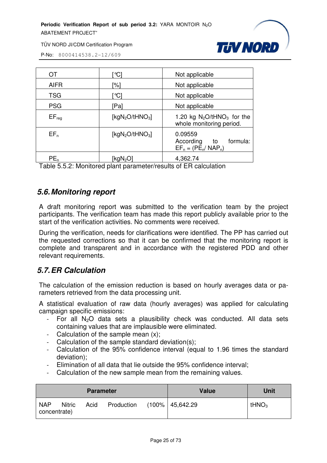

TÜV NORD JI/CDM Certification Program

P-No: 8000414538.2-12/609

| OT          | $^{\circ}$ Cl                   | Not applicable                                                        |
|-------------|---------------------------------|-----------------------------------------------------------------------|
| <b>AIFR</b> | '%]                             | Not applicable                                                        |
| <b>TSG</b>  | °Cl                             | Not applicable                                                        |
| <b>PSG</b>  | [Pa]                            | Not applicable                                                        |
| $EF_{req}$  | [kg $N_2O$ /tHNO <sub>3</sub> ] | 1.20 kg $N_2O$ /tHNO <sub>3</sub> for the<br>whole monitoring period. |
| $EF_n$      | [ $kgN2O/tHNO3$ ]               | 0.09559<br>formula:<br>According<br>to<br>$EF_n = (PE_n / NAP_n)$     |
| $PE_n$      | [kgN <sub>2</sub> O             | 4,362.74                                                              |

Table 5.5.2: Monitored plant parameter/results of ER calculation

#### *5.6. Monitoring report*

A draft monitoring report was submitted to the verification team by the project participants. The verification team has made this report publicly available prior to the start of the verification activities. No comments were received.

During the verification, needs for clarifications were identified. The PP has carried out the requested corrections so that it can be confirmed that the monitoring report is complete and transparent and in accordance with the registered PDD and other relevant requirements.

## *5.7. ER Calculation*

The calculation of the emission reduction is based on hourly averages data or parameters retrieved from the data processing unit.

A statistical evaluation of raw data (hourly averages) was applied for calculating campaign specific emissions:

- For all  $N<sub>2</sub>O$  data sets a plausibility check was conducted. All data sets containing values that are implausible were eliminated.
- Calculation of the sample mean (x);
- Calculation of the sample standard deviation(s);
- Calculation of the 95% confidence interval (equal to 1.96 times the standard deviation);
- Elimination of all data that lie outside the 95% confidence interval;
- Calculation of the new sample mean from the remaining values.

| <b>Parameter</b>           |               | <b>Value</b> | Unit       |  |                   |                   |
|----------------------------|---------------|--------------|------------|--|-------------------|-------------------|
| <b>NAP</b><br>concentrate) | <b>Nitric</b> | Acid         | Production |  | (100%   45,642.29 | tHNO <sub>3</sub> |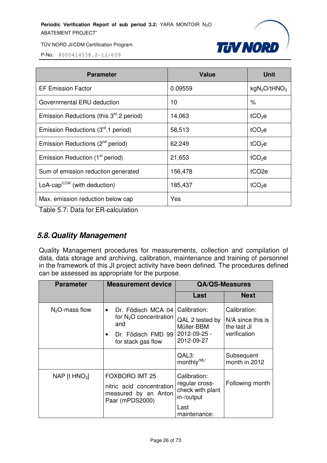

P-No: 8000414538.2-12/609

| <b>Parameter</b>                                     | <b>Value</b> | <b>Unit</b>                 |
|------------------------------------------------------|--------------|-----------------------------|
| <b>EF Emission Factor</b>                            | 0.09559      | $kgN_2O$ /tHNO <sub>3</sub> |
| Governmental ERU deduction                           | 10           | ℅                           |
| Emission Reductions (this $3rd$ .2 period)           | 14,063       | tCO <sub>2</sub> e          |
| Emission Reductions (3 <sup>rd</sup> .1 period)      | 58,513       | tCO <sub>2</sub> e          |
| Emission Reductions (2 <sup>nd</sup> period)         | 62,249       | $tCO2$ e                    |
| Emission Reduction (1 <sup>st</sup> period)          | 21,653       | tCO <sub>2</sub> e          |
| Sum of emission reduction generated                  | 156,478      | tCO <sub>2e</sub>           |
| LoA-cap <sup><math>LOA</math></sup> (with deduction) | 185,437      | tCO <sub>2</sub> e          |
| Max. emission reduction below cap                    | Yes          |                             |

Table 5.7: Data for ER-calculation

## *5.8. Quality Management*

Quality Management procedures for measurements, collection and compilation of data, data storage and archiving, calibration, maintenance and training of personnel in the framework of this JI project activity have been defined. The procedures defined can be assessed as appropriate for the purpose.

| <b>Parameter</b> | <b>Measurement device</b>                                                                                      | <b>QA/QS-Measures</b>                                                                    |                                                                    |
|------------------|----------------------------------------------------------------------------------------------------------------|------------------------------------------------------------------------------------------|--------------------------------------------------------------------|
|                  |                                                                                                                | Last                                                                                     | <b>Next</b>                                                        |
| $N2O$ -mass flow | Dr. Födisch MCA 04<br>$\bullet$<br>for $N_2O$ concentration<br>and<br>Dr. Födisch FMD 99<br>for stack gas flow | Calibration:<br>QAL 2 tested by<br>Müller-BBM<br>2012-09-25 -<br>2012-09-27              | Calibration:<br>$N/A$ since this is<br>the last JI<br>verification |
|                  |                                                                                                                | QAL3:<br>monthly <sup>/ML/</sup>                                                         | Subsequent<br>month in 2012                                        |
| NAP [t $HNO3$ ]  | <b>FOXBORO IMT 25</b><br>nitric acid concentration<br>measured by an Anton<br>Paar (mPDS2000)                  | Calibration:<br>regular cross-<br>check with plant<br>in-/output<br>Last<br>maintenance: | Following month                                                    |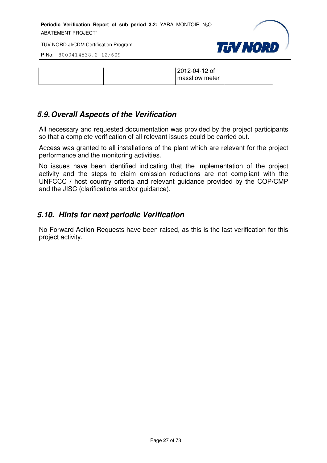TÜV NORD JI/CDM Certification Program

**TJV NORD** 

P-No: 8000414538.2-12/609

|  | 2012-04-12 of<br>massflow meter |  |
|--|---------------------------------|--|
|  |                                 |  |

## *5.9. Overall Aspects of the Verification*

All necessary and requested documentation was provided by the project participants so that a complete verification of all relevant issues could be carried out.

Access was granted to all installations of the plant which are relevant for the project performance and the monitoring activities.

No issues have been identified indicating that the implementation of the project activity and the steps to claim emission reductions are not compliant with the UNFCCC / host country criteria and relevant guidance provided by the COP/CMP and the JISC (clarifications and/or guidance).

## *5.10. Hints for next periodic Verification*

No Forward Action Requests have been raised, as this is the last verification for this project activity.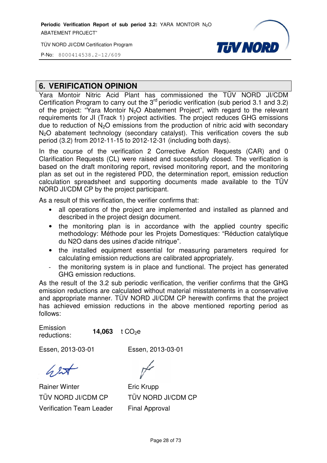TÜV NORD JI/CDM Certification Program

P-No: 8000414538.2-12/609

## **6. VERIFICATION OPINION**

Yara Montoir Nitric Acid Plant has commissioned the TÜV NORD JI/CDM Certification Program to carry out the  $3<sup>rd</sup>$  periodic verification (sub period 3.1 and 3.2) of the project: "Yara Montoir N<sub>2</sub>O Abatement Project", with regard to the relevant requirements for JI (Track 1) project activities. The project reduces GHG emissions due to reduction of  $N<sub>2</sub>O$  emissions from the production of nitric acid with secondary N<sub>2</sub>O abatement technology (secondary catalyst). This verification covers the sub period (3.2) from 2012-11-15 to 2012 15 2012-12-31 (including both days). %, with regard to the relevant<br>ject reduces GHG emissions<br>of nitric acid with secondary<br>is verification covers the sub<br>oth days).<br>on Requests (CAR) and 0<br>Illy closed. The verification is

**THV NORD** 

In the course of the verification 2 Corrective Action Requests (CAR) and 0 Clarification Requests (CL) were raised and successfully closed. The v based on the draft monitoring report, revised monitoring report, and the monitoring plan as set out in the registered PDD, the determination report, emission reduction calculation spreadsheet and supporting documents made available to the TÜ TÜV NORD JI/CDM CP by the project participant.

As a result of this verification, the verifier confirms that:

- all operations of the project are implemented and installed as planned and described in the project design document.
- the monitoring plan is in accordance with the applied country specific methodology: Méthode pour les Projets Domestiques: "Réduction catalytique du N2O dans des usines d'acide nitrique". is in accordance<br>pour les Projets I<br>s d'acide nitrique".<br>it essential for r<br>uctions are calibra<br>s in place and fu<br>ns.<br>eriodic verificatior<br>ated without mate
- the installed equipment essential for measuring parameters required for calculating emission reductions are calibrated appropriately.
- the monitoring system is in place and functional. The project has generated GHG emission reductions.

As the result of the 3.2 sub periodic verification, the verifier confirms that the GHG emission reductions are calculated without material misstatements in a conservative and appropriate manner. TÜV NORD JI/CDM CP herewith confirms that the project has achieved emission reductions in the above mentioned reporting period as follows:

Emission reductions: 14,063  $t CO<sub>2</sub>e$ 

Essen, 2013-03-01

Essen, 2013-03-01

 $627$ 

Rainer Winter TÜV NORD JI/CDM CP Verification Team Leader

Eric Krupp TÜV NORD JI/CDM CP Final Approval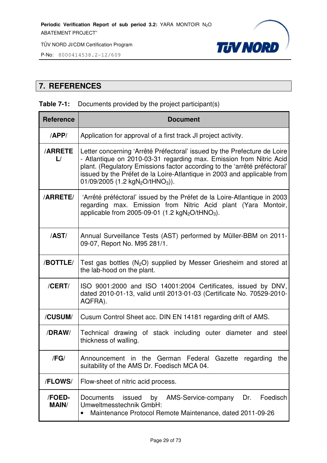P-No: 8000414538.2-12/609



## **7. REFERENCES**

#### **Table 7-1:** Documents provided by the project participant(s)

| <b>Reference</b>               | <b>Document</b>                                                                                                                                                                                                                                                                                                                                                     |
|--------------------------------|---------------------------------------------------------------------------------------------------------------------------------------------------------------------------------------------------------------------------------------------------------------------------------------------------------------------------------------------------------------------|
| APP/                           | Application for approval of a first track JI project activity.                                                                                                                                                                                                                                                                                                      |
| <b>ARRETE</b><br>$\mathsf{L}/$ | Letter concerning 'Arrêté Préfectoral' issued by the Prefecture de Loire<br>- Atlantique on 2010-03-31 regarding max. Emission from Nitric Acid<br>plant. (Regulatory Emissions factor according to the 'arrêté préféctoral'<br>issued by the Préfet de la Loire-Atlantique in 2003 and applicable from<br>01/09/2005 (1.2 kgN <sub>2</sub> O/tHNO <sub>3</sub> )). |
| <b>/ARRETE/</b>                | 'Arrêté préféctoral' issued by the Préfet de la Loire-Atlantique in 2003<br>regarding max. Emission from Nitric Acid plant (Yara Montoir,<br>applicable from 2005-09-01 (1.2 $kgN_2O/tHNO_3$ ).                                                                                                                                                                     |
| /AST/                          | Annual Surveillance Tests (AST) performed by Müller-BBM on 2011-<br>09-07, Report No. M95 281/1.                                                                                                                                                                                                                                                                    |
| /BOTTLE/                       | Test gas bottles (N <sub>2</sub> O) supplied by Messer Griesheim and stored at<br>the lab-hood on the plant.                                                                                                                                                                                                                                                        |
| /CERT/                         | ISO 9001:2000 and ISO 14001:2004 Certificates, issued by DNV,<br>dated 2010-01-13, valid until 2013-01-03 (Certificate No. 70529-2010-<br>AQFRA).                                                                                                                                                                                                                   |
| /CUSUM/                        | Cusum Control Sheet acc. DIN EN 14181 regarding drift of AMS.                                                                                                                                                                                                                                                                                                       |
| /DRAW/                         | Technical drawing of stack including outer diameter and steel<br>thickness of walling.                                                                                                                                                                                                                                                                              |
| /FG/                           | Announcement in the German Federal Gazette regarding the<br>suitability of the AMS Dr. Foedisch MCA 04.                                                                                                                                                                                                                                                             |
| /FLOWS/                        | Flow-sheet of nitric acid process.                                                                                                                                                                                                                                                                                                                                  |
| /FOED-<br><b>MAIN/</b>         | by<br>AMS-Service-company<br>Dr.<br>Foedisch<br><b>Documents</b><br>issued<br>Umweltmesstechnik GmbH:<br>Maintenance Protocol Remote Maintenance, dated 2011-09-26<br>$\bullet$                                                                                                                                                                                     |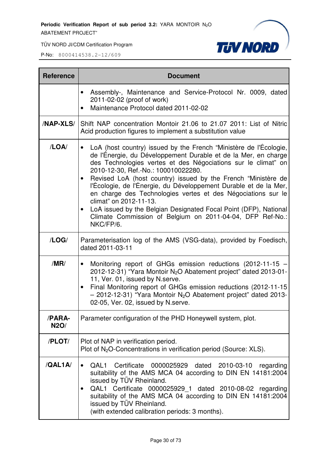TÜV NORD JI/CDM Certification Program



| <b>Reference</b>      | <b>Document</b>                                                                                                                                                                                                                                                                                                                                                                                                                                                                                                                                                                                                                       |
|-----------------------|---------------------------------------------------------------------------------------------------------------------------------------------------------------------------------------------------------------------------------------------------------------------------------------------------------------------------------------------------------------------------------------------------------------------------------------------------------------------------------------------------------------------------------------------------------------------------------------------------------------------------------------|
|                       | Assembly-, Maintenance and Service-Protocol Nr. 0009, dated<br>2011-02-02 (proof of work)<br>Maintenance Protocol dated 2011-02-02<br>$\bullet$                                                                                                                                                                                                                                                                                                                                                                                                                                                                                       |
| <b>/NAP-XLS/</b>      | Shift NAP concentration Montoir 21.06 to 21.07 2011: List of Nitric<br>Acid production figures to implement a substitution value                                                                                                                                                                                                                                                                                                                                                                                                                                                                                                      |
| /LOA/                 | LoA (host country) issued by the French "Ministère de l'Écologie,<br>$\bullet$<br>de l'Énergie, du Développement Durable et de la Mer, en charge<br>des Technologies vertes et des Négociations sur le climat" on<br>2010-12-30, Ref.-No.: 100010022280.<br>Revised LoA (host country) issued by the French "Ministère de<br>l'Écologie, de l'Énergie, du Développement Durable et de la Mer,<br>en charge des Technologies vertes et des Négociations sur le<br>climat" on 2012-11-13.<br>LoA issued by the Belgian Designated Focal Point (DFP), National<br>Climate Commission of Belgium on 2011-04-04, DFP Ref-No.:<br>NKC/FP/6. |
| /LOG/                 | Parameterisation log of the AMS (VSG-data), provided by Foedisch,<br>dated 2011-03-11                                                                                                                                                                                                                                                                                                                                                                                                                                                                                                                                                 |
| /MR/                  | Monitoring report of GHGs emission reductions (2012-11-15 -<br>$\bullet$<br>2012-12-31) "Yara Montoir N <sub>2</sub> O Abatement project" dated 2013-01-<br>11, Ver. 01, issued by N.serve.<br>Final Monitoring report of GHGs emission reductions (2012-11-15<br>$\bullet$<br>$-$ 2012-12-31) "Yara Montoir N <sub>2</sub> O Abatement project" dated 2013-<br>02-05, Ver. 02, issued by N.serve.                                                                                                                                                                                                                                    |
| /PARA-<br><b>N2O/</b> | Parameter configuration of the PHD Honeywell system, plot.                                                                                                                                                                                                                                                                                                                                                                                                                                                                                                                                                                            |
| /PLOT/                | Plot of NAP in verification period.<br>Plot of N <sub>2</sub> O-Concentrations in verification period (Source: XLS).                                                                                                                                                                                                                                                                                                                                                                                                                                                                                                                  |
| /QAL1A/               | Certificate 0000025929 dated 2010-03-10 regarding<br>QAL1<br>$\bullet$<br>suitability of the AMS MCA 04 according to DIN EN 14181:2004<br>issued by TÜV Rheinland.<br>QAL1 Certificate 0000025929_1 dated 2010-08-02 regarding<br>$\bullet$<br>suitability of the AMS MCA 04 according to DIN EN 14181:2004<br>issued by TÜV Rheinland.<br>(with extended calibration periods: 3 months).                                                                                                                                                                                                                                             |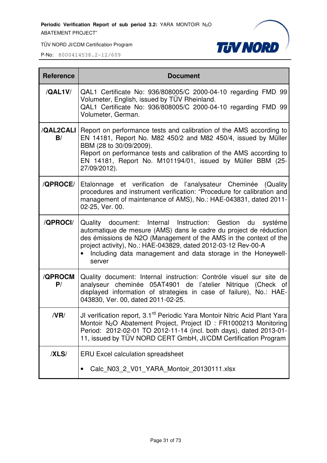

TÜV NORD JI/CDM Certification Program

| <b>Reference</b>       | <b>Document</b>                                                                                                                                                                                                                                                                                                                                    |  |  |
|------------------------|----------------------------------------------------------------------------------------------------------------------------------------------------------------------------------------------------------------------------------------------------------------------------------------------------------------------------------------------------|--|--|
| /QAL1V/                | QAL1 Certificate No: 936/808005/C 2000-04-10 regarding FMD 99<br>Volumeter, English, issued by TÜV Rheinland.<br>QAL1 Certificate No: 936/808005/C 2000-04-10 regarding FMD 99<br>Volumeter, German.                                                                                                                                               |  |  |
| <b>/QAL2CALI</b><br>B/ | Report on performance tests and calibration of the AMS according to<br>EN 14181, Report No. M82 450/2 and M82 450/4, issued by Müller<br>BBM (28 to 30/09/2009).<br>Report on performance tests and calibration of the AMS according to<br>EN 14181, Report No. M101194/01, issued by Müller BBM (25-<br>27/09/2012).                              |  |  |
| /QPROCE/               | Etalonnage et verification de l'analysateur Cheminée (Quality<br>procedures and instrument verification: "Procedure for calibration and<br>management of maintenance of AMS), No.: HAE-043831, dated 2011-<br>02-25, Ver. 00.                                                                                                                      |  |  |
| /QPROCI/               | Quality document: Internal Instruction: Gestion du<br>systéme<br>automatique de mesure (AMS) dans le cadre du project de réduction<br>des émissions de N2O (Management of the AMS in the context of the<br>project activity), No.: HAE-043829, dated 2012-03-12 Rev-00-A<br>Including data management and data storage in the Honeywell-<br>server |  |  |
| /QPROCM<br>P/          | Quality document: Internal instruction: Contróle visuel sur site de<br>analyseur cheminée 05AT4901 de l'atelier Nitrique (Check of<br>displayed information of strategies in case of failure), No.: HAE-<br>043830, Ver. 00, dated 2011-02-25.                                                                                                     |  |  |
| /VR/                   | JI verification report, 3.1 <sup>rd</sup> Periodic Yara Montoir Nitric Acid Plant Yara<br>Montoir N <sub>2</sub> O Abatement Project, Project ID: FR1000213 Monitoring<br>Period: 2012-02-01 TO 2012-11-14 (incl. both days), dated 2013-01-<br>11, issued by TÜV NORD CERT GmbH, JI/CDM Certification Program                                     |  |  |
| /XLS/                  | <b>ERU Excel calculation spreadsheet</b><br>Calc_N03_2_V01_YARA_Montoir_20130111.xlsx                                                                                                                                                                                                                                                              |  |  |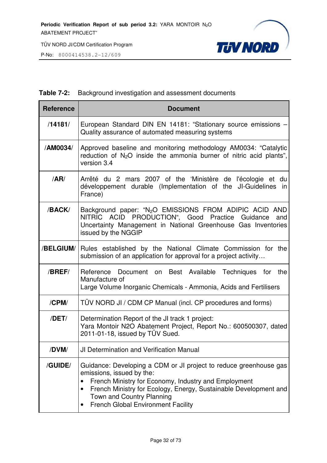

#### **Table 7-2:** Background investigation and assessment documents

| <b>Reference</b> | <b>Document</b>                                                                                                                                                                                                                                                                               |  |  |  |
|------------------|-----------------------------------------------------------------------------------------------------------------------------------------------------------------------------------------------------------------------------------------------------------------------------------------------|--|--|--|
| /14181/          | European Standard DIN EN 14181: "Stationary source emissions -<br>Quality assurance of automated measuring systems                                                                                                                                                                            |  |  |  |
| /AM0034/         | Approved baseline and monitoring methodology AM0034: "Catalytic<br>reduction of $N_2O$ inside the ammonia burner of nitric acid plants",<br>version 3.4                                                                                                                                       |  |  |  |
| /AR/             | Arrêté du 2 mars 2007 of the 'Ministère de l'écologie et du<br>développement durable (Implementation of the JI-Guidelines<br>in.<br>France)                                                                                                                                                   |  |  |  |
| /BACK/           | Background paper: "N <sub>2</sub> O EMISSIONS FROM ADIPIC ACID AND<br>NITRIC ACID PRODUCTION", Good Practice Guidance<br>and<br>Uncertainty Management in National Greenhouse Gas Inventories<br>issued by the NGGIP                                                                          |  |  |  |
| /BELGIUM/        | Rules established by the National Climate Commission for the<br>submission of an application for approval for a project activity                                                                                                                                                              |  |  |  |
| /BREF/           | Reference Document on Best Available Techniques for the<br>Manufacture of<br>Large Volume Inorganic Chemicals - Ammonia, Acids and Fertilisers                                                                                                                                                |  |  |  |
| /CPM/            | TÜV NORD JI / CDM CP Manual (incl. CP procedures and forms)                                                                                                                                                                                                                                   |  |  |  |
| /DET/            | Determination Report of the JI track 1 project:<br>Yara Montoir N2O Abatement Project, Report No.: 600500307, dated<br>2011-01-18, issued by TÜV Sued.                                                                                                                                        |  |  |  |
| /DVM/            | JI Determination and Verification Manual                                                                                                                                                                                                                                                      |  |  |  |
| /GUIDE/          | Guidance: Developing a CDM or JI project to reduce greenhouse gas<br>emissions, issued by the:<br>French Ministry for Economy, Industry and Employment<br>French Ministry for Ecology, Energy, Sustainable Development and<br>Town and Country Planning<br>French Global Environment Facility |  |  |  |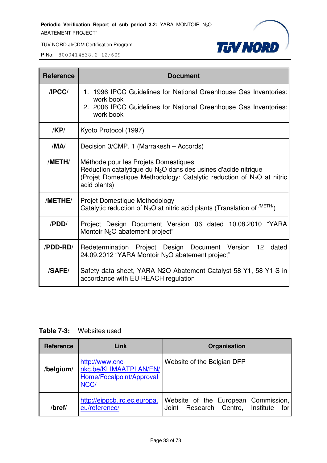

| <b>Reference</b> | <b>Document</b>                                                                                                                                                                                               |  |  |
|------------------|---------------------------------------------------------------------------------------------------------------------------------------------------------------------------------------------------------------|--|--|
| IPCC/            | 1. 1996 IPCC Guidelines for National Greenhouse Gas Inventories:<br>work book<br>2. 2006 IPCC Guidelines for National Greenhouse Gas Inventories:<br>work book                                                |  |  |
| KPI              | Kyoto Protocol (1997)                                                                                                                                                                                         |  |  |
| /MA/             | Decision 3/CMP. 1 (Marrakesh - Accords)                                                                                                                                                                       |  |  |
| /METH/           | Méthode pour les Projets Domestiques<br>Réduction catalytique du $N_2O$ dans des usines d'acide nitrique<br>(Projet Domestique Methodology: Catalytic reduction of N <sub>2</sub> O at nitric<br>acid plants) |  |  |
| /METHE/          | Projet Domestique Methodology<br>Catalytic reduction of $N_2O$ at nitric acid plants (Translation of $^{/METH/}$ )                                                                                            |  |  |
| /PDD/            | Project Design Document Version 06 dated 10.08.2010 "YARA<br>Montoir N <sub>2</sub> O abatement project"                                                                                                      |  |  |
| /PDD-RD/         | Redetermination Project Design Document Version 12<br>dated<br>24.09.2012 "YARA Montoir N <sub>2</sub> O abatement project"                                                                                   |  |  |
| <b>/SAFE/</b>    | Safety data sheet, YARA N2O Abatement Catalyst 58-Y1, 58-Y1-S in<br>accordance with EU REACH regulation                                                                                                       |  |  |

| <b>Reference</b> | Link                                                                          | Organisation                                                                      |
|------------------|-------------------------------------------------------------------------------|-----------------------------------------------------------------------------------|
| /belgium/        | http://www.cnc-<br>nkc.be/KLIMAATPLAN/EN/<br>Home/Focalpoint/Approval<br>NCC/ | Website of the Belgian DFP                                                        |
| /bref/           | http://eippcb.jrc.ec.europa.<br>eu/reference/                                 | Website of the European Commission,<br>Joint Research Centre,<br>Institute<br>for |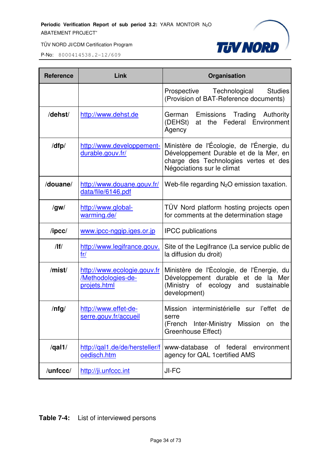

P-No: 8000414538.2-12/609

| <b>Reference</b> | Link                                                                     | Organisation                                                                                                                                               |  |  |
|------------------|--------------------------------------------------------------------------|------------------------------------------------------------------------------------------------------------------------------------------------------------|--|--|
|                  |                                                                          | <b>Studies</b><br>Prospective Technological<br>(Provision of BAT-Reference documents)                                                                      |  |  |
| /dehst/          | http://www.dehst.de                                                      | Trading<br>Emissions<br>Authority<br>German<br>the Federal Environment<br>(DEHSt)<br>at<br>Agency                                                          |  |  |
| /dfp/            | http://www.developpement-<br>durable.gouv.fr/                            | Ministère de l'Écologie, de l'Énergie, du<br>Développement Durable et de la Mer, en<br>charge des Technologies vertes et des<br>Négociations sur le climat |  |  |
| /douane/         | http://www.douane.gouv.fr/<br>data/file/6146.pdf                         | Web-file regarding $N_2O$ emission taxation.                                                                                                               |  |  |
| /gw/             | http://www.global-<br>warming.de/                                        | TÜV Nord platform hosting projects open<br>for comments at the determination stage                                                                         |  |  |
| $\sqrt{I}$       | www.ipcc-nggip.iges.or.jp                                                | <b>IPCC</b> publications                                                                                                                                   |  |  |
| /                | http://www.legifrance.gouv.<br>fr/                                       | Site of the Legifrance (La service public de<br>la diffusion du droit)                                                                                     |  |  |
| /mist/           | http://www.ecologie.gouv.fr<br>/Methodologies-de-<br><u>projets.html</u> | Ministère de l'Écologie, de l'Énergie, du<br>Développement durable et de la Mer<br>(Ministry of ecology and<br>sustainable<br>development)                 |  |  |
| $/$ nfg $/$      | http://www.effet-de-<br>serre.gouv.fr/accueil                            | Mission<br>interministérielle sur l'effet<br>de<br>serre<br>Inter-Ministry<br>Mission on the<br>(French<br>Greenhouse Effect)                              |  |  |
| $\sqrt{qal1/}$   | http://gal1.de/de/hersteller/f<br>oedisch.htm                            | of federal environment<br>www-database<br>agency for QAL 1 certified AMS                                                                                   |  |  |
| /unfccc/         | http://ji.unfccc.int                                                     | JI-FC                                                                                                                                                      |  |  |

**Table 7-4:** List of interviewed persons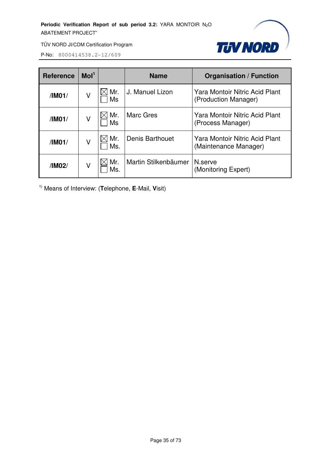

P-No: 8000414538.2-12/609

| <b>Reference</b> | Mol <sup>1</sup> |            | <b>Name</b>            | <b>Organisation / Function</b>                                 |
|------------------|------------------|------------|------------------------|----------------------------------------------------------------|
| /IM01/           | ٧                | Mr.<br>Ms  | J. Manuel Lizon        | <b>Yara Montoir Nitric Acid Plant</b><br>(Production Manager)  |
| /IM01/           | ٧                | Mr.<br>Ms  | Marc Gres              | Yara Montoir Nitric Acid Plant<br>(Process Manager)            |
| /IM01/           | ٧                | Mr.<br>Ms. | <b>Denis Barthouet</b> | <b>Yara Montoir Nitric Acid Plant</b><br>(Maintenance Manager) |
| /IM02/           | ٧                | Mr.<br>Ms. | Martin Stilkenbäumer   | N.serve<br>(Monitoring Expert)                                 |

1) Means of Interview: (**T**elephone, **E**-Mail, **V**isit)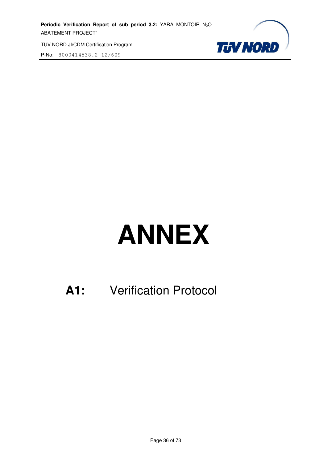P-No: 8000414538.2-12/609



# **ANNEX**

## **A1:** Verification Protocol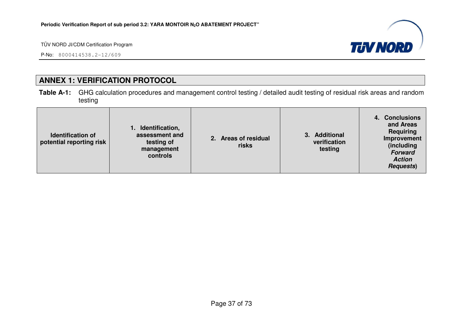P-No: 8000414538.2-12/609



# **ANNEX 1: VERIFICATION PROTOCOL**

**Table A-1:** GHG calculation procedures and management control testing / detailed audit testing of residual risk areas and random testing

| Identification,<br>assessment and<br><b>Identification of</b><br>potential reporting risk<br>testing of<br>management<br>controls | 2. Areas of residual<br>risks | <b>Additional</b><br>verification<br>testing | 4. Conclusions<br>and Areas<br>Requiring<br>Improvement<br>(including<br><b>Forward</b><br><b>Action</b><br><b>Requests</b> ) |
|-----------------------------------------------------------------------------------------------------------------------------------|-------------------------------|----------------------------------------------|-------------------------------------------------------------------------------------------------------------------------------|
|-----------------------------------------------------------------------------------------------------------------------------------|-------------------------------|----------------------------------------------|-------------------------------------------------------------------------------------------------------------------------------|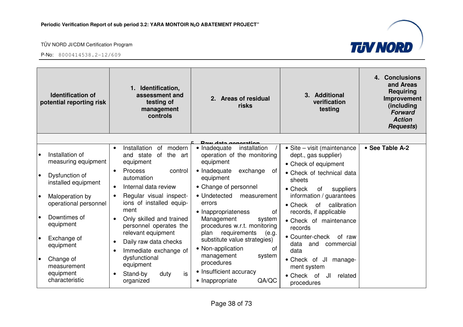

| <b>Identification of</b><br>potential reporting risk                                                                                                                                                                                            | 1. Identification,<br>assessment and<br>testing of<br>management<br>controls                                                                                                                                                                                                                                                                                                                                                                                                                  | 2. Areas of residual<br>risks                                                                                                                                                                                                                                                                                                                                                                                                                                                               | 3. Additional<br>verification<br>testing                                                                                                                                                                                                                                                                                                                                                                                                      | 4. Conclusions<br>and Areas<br><b>Requiring</b><br>Improvement<br>(including<br><b>Forward</b><br><b>Action</b><br><b>Requests</b> ) |
|-------------------------------------------------------------------------------------------------------------------------------------------------------------------------------------------------------------------------------------------------|-----------------------------------------------------------------------------------------------------------------------------------------------------------------------------------------------------------------------------------------------------------------------------------------------------------------------------------------------------------------------------------------------------------------------------------------------------------------------------------------------|---------------------------------------------------------------------------------------------------------------------------------------------------------------------------------------------------------------------------------------------------------------------------------------------------------------------------------------------------------------------------------------------------------------------------------------------------------------------------------------------|-----------------------------------------------------------------------------------------------------------------------------------------------------------------------------------------------------------------------------------------------------------------------------------------------------------------------------------------------------------------------------------------------------------------------------------------------|--------------------------------------------------------------------------------------------------------------------------------------|
|                                                                                                                                                                                                                                                 |                                                                                                                                                                                                                                                                                                                                                                                                                                                                                               |                                                                                                                                                                                                                                                                                                                                                                                                                                                                                             |                                                                                                                                                                                                                                                                                                                                                                                                                                               |                                                                                                                                      |
| Installation of<br>measuring equipment<br>Dysfunction of<br>installed equipment<br>Maloperation by<br>operational personnel<br>Downtimes of<br>equipment<br>Exchange of<br>equipment<br>Change of<br>measurement<br>equipment<br>characteristic | Installation<br>of<br>modern<br>of<br>the art<br>and<br>state<br>equipment<br>control<br><b>Process</b><br>$\bullet$<br>automation<br>Internal data review<br>$\bullet$<br>Regular visual inspect-<br>$\bullet$<br>ions of installed equip-<br>ment<br>Only skilled and trained<br>$\bullet$<br>personnel operates the<br>relevant equipment<br>Daily raw data checks<br>$\bullet$<br>Immediate exchange of<br>$\bullet$<br>dysfunctional<br>equipment<br>is<br>Stand-by<br>duty<br>organized | Daw data generation<br>• Inadequate<br>installation<br>operation of the monitoring<br>equipment<br>• Inadequate<br>exchange<br>0f<br>equipment<br>• Change of personnel<br>• Undetected<br>measurement<br>errors<br>• Inappropriateness<br>of<br>Management<br>system<br>procedures w.r.t. monitoring<br>plan requirements<br>(e.g.<br>substitute value strategies)<br>• Non-application<br>0f<br>system<br>management<br>procedures<br>• Insufficient accuracy<br>QA/QC<br>• Inappropriate | • Site – visit (maintenance<br>dept., gas supplier)<br>• Check of equipment<br>• Check of technical data<br>sheets<br>• Check<br>of<br>suppliers<br>information / guarantees<br>$\bullet$ Check<br>calibration<br>of<br>records, if applicable<br>• Check of maintenance<br>records<br>• Counter-check<br>of raw<br>data<br>and<br>commercial<br>data<br>• Check of JI<br>manage-<br>ment system<br>• Check of<br>JI<br>related<br>procedures | • See Table A-2                                                                                                                      |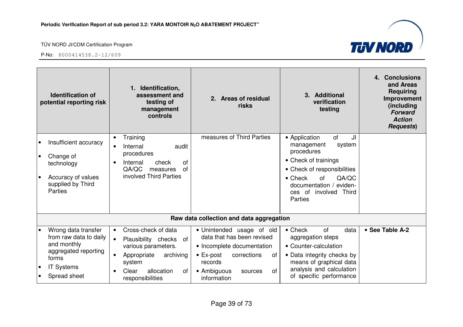

| <b>Identification of</b><br>potential reporting risk                                                                                                         | Identification,<br>assessment and<br>testing of<br>management<br>controls                                                                                                                             | 2. Areas of residual<br>risks                                                                                                                                                             | 3. Additional<br>verification<br>testing                                                                                                                                                    | <b>Conclusions</b><br>4.<br>and Areas<br><b>Requiring</b><br>Improvement<br>(including<br><b>Forward</b><br><b>Action</b><br><b>Requests</b> ) |
|--------------------------------------------------------------------------------------------------------------------------------------------------------------|-------------------------------------------------------------------------------------------------------------------------------------------------------------------------------------------------------|-------------------------------------------------------------------------------------------------------------------------------------------------------------------------------------------|---------------------------------------------------------------------------------------------------------------------------------------------------------------------------------------------|------------------------------------------------------------------------------------------------------------------------------------------------|
| Insufficient accuracy<br>$\bullet$                                                                                                                           | Training<br>$\bullet$<br>Internal<br>audit                                                                                                                                                            | measures of Third Parties                                                                                                                                                                 | of<br>JI<br>• Application<br>management<br>system                                                                                                                                           |                                                                                                                                                |
| Change of<br>٠<br>technology                                                                                                                                 | procedures<br>of<br>check<br>Internal                                                                                                                                                                 |                                                                                                                                                                                           | procedures<br>• Check of trainings                                                                                                                                                          |                                                                                                                                                |
| Accuracy of values<br>$\bullet$<br>supplied by Third<br>Parties                                                                                              | QA/QC<br>0f<br>measures<br>involved Third Parties                                                                                                                                                     |                                                                                                                                                                                           | • Check of responsibilities<br>$\bullet$ Check<br>QA/QC<br>of<br>documentation / eviden-<br>ces of involved<br>Third<br>Parties                                                             |                                                                                                                                                |
|                                                                                                                                                              |                                                                                                                                                                                                       | Raw data collection and data aggregation                                                                                                                                                  |                                                                                                                                                                                             |                                                                                                                                                |
| Wrong data transfer<br>$\bullet$<br>from raw data to daily<br>and monthly<br>aggregated reporting<br>forms<br><b>IT Systems</b><br>Spread sheet<br>$\bullet$ | Cross-check of data<br>$\bullet$<br>Plausibility checks<br>of<br>$\bullet$<br>various parameters.<br>Appropriate<br>archiving<br>$\bullet$<br>system<br>allocation<br>Clear<br>οf<br>responsibilities | · Unintended usage of old<br>data that has been revised<br>• Incomplete documentation<br>$\bullet$ Ex-post<br>corrections<br>of<br>records<br>• Ambiguous<br>0f<br>sources<br>information | of<br>$\bullet$ Check<br>data<br>aggregation steps<br>• Counter-calculation<br>• Data integrity checks by<br>means of graphical data<br>analysis and calculation<br>of specific performance | • See Table A-2                                                                                                                                |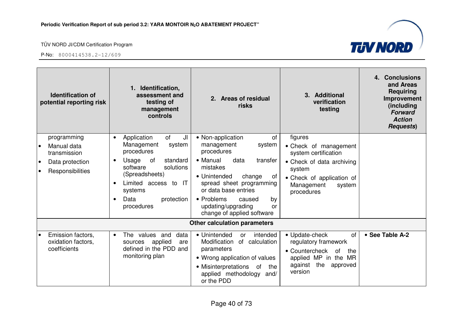

| <b>Identification of</b><br>potential reporting risk          | 1. Identification,<br>assessment and<br>testing of<br>management<br>controls                                                                                            | 2. Areas of residual<br>risks                                                                                                                                                                            | 3. Additional<br>verification<br>testing                                                                                                                   | 4. Conclusions<br>and Areas<br><b>Requiring</b><br>Improvement<br>(including<br><b>Forward</b><br><b>Action</b><br><b>Requests</b> ) |
|---------------------------------------------------------------|-------------------------------------------------------------------------------------------------------------------------------------------------------------------------|----------------------------------------------------------------------------------------------------------------------------------------------------------------------------------------------------------|------------------------------------------------------------------------------------------------------------------------------------------------------------|--------------------------------------------------------------------------------------------------------------------------------------|
| programming<br>Manual data<br>$\bullet$<br>transmission       | of<br>JI<br>Application<br>$\bullet$<br>Management<br>system<br>procedures                                                                                              | • Non-application<br>of<br>management<br>system<br>procedures<br>• Manual                                                                                                                                | figures<br>• Check of management<br>system certification                                                                                                   |                                                                                                                                      |
| Data protection<br>$\bullet$<br>Responsibilities<br>$\bullet$ | Usage<br>standard<br>of<br>$\bullet$<br>solutions<br>software<br>(Spreadsheets)<br>Limited access to<br>-IT<br>$\bullet$<br>systems<br>Data<br>protection<br>procedures | data<br>transfer<br>mistakes<br>• Unintended<br>change<br>οf<br>spread sheet programming<br>or data base entries<br>• Problems<br>caused<br>by<br>updating/upgrading<br>or                               | • Check of data archiving<br>system<br>• Check of application of<br>Management<br>system<br>procedures                                                     |                                                                                                                                      |
|                                                               |                                                                                                                                                                         | change of applied software<br><b>Other calculation parameters</b>                                                                                                                                        |                                                                                                                                                            |                                                                                                                                      |
| Emission factors,<br>oxidation factors,<br>coefficients       | values and<br><b>The</b><br>data<br>$\bullet$<br>applied<br>sources<br>are<br>defined in the PDD and<br>monitoring plan                                                 | • Unintended<br>intended<br><b>or</b><br>Modification<br>of calculation<br>parameters<br>• Wrong application of values<br>• Misinterpretations<br>the<br>of<br>applied methodology<br>and/<br>or the PDD | • Update-check<br><b>of</b><br>regulatory framework<br>• Countercheck<br><b>of</b><br>the<br>applied MP in the MR<br>the<br>against<br>approved<br>version | • See Table A-2                                                                                                                      |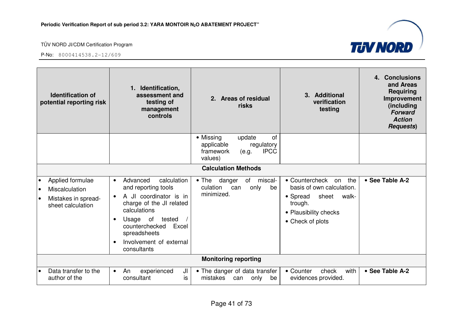

| <b>Identification of</b><br>potential reporting risk                                                     | Identification,<br>assessment and<br>testing of<br>management<br>controls                                                                                                                                                                                              | 2. Areas of residual<br>risks                                                                         | 3. Additional<br>verification<br>testing                                                                                                       | 4. Conclusions<br>and Areas<br><b>Requiring</b><br>Improvement<br>(including<br><b>Forward</b><br><b>Action</b><br><b>Requests)</b> |
|----------------------------------------------------------------------------------------------------------|------------------------------------------------------------------------------------------------------------------------------------------------------------------------------------------------------------------------------------------------------------------------|-------------------------------------------------------------------------------------------------------|------------------------------------------------------------------------------------------------------------------------------------------------|-------------------------------------------------------------------------------------------------------------------------------------|
|                                                                                                          |                                                                                                                                                                                                                                                                        | • Missing<br>update<br>of<br>applicable<br>regulatory<br>framework<br><b>IPCC</b><br>(e.g.<br>values) |                                                                                                                                                |                                                                                                                                     |
|                                                                                                          |                                                                                                                                                                                                                                                                        | <b>Calculation Methods</b>                                                                            |                                                                                                                                                |                                                                                                                                     |
| Applied formulae<br>Miscalculation<br>$\bullet$<br>Mistakes in spread-<br>$\bullet$<br>sheet calculation | Advanced<br>calculation<br>$\bullet$<br>and reporting tools<br>A JI coordinator is in<br>$\bullet$<br>charge of the JI related<br>calculations<br>Usage of<br>tested<br>$\bullet$<br>Excel<br>counterchecked<br>spreadsheets<br>Involvement of external<br>consultants | of<br>miscal-<br>$\bullet$ The<br>danger<br>culation<br>only<br>can<br>be<br>minimized.               | • Countercheck<br>the<br>on<br>basis of own calculation.<br>• Spread<br>sheet<br>walk-<br>trough.<br>• Plausibility checks<br>• Check of plots | • See Table A-2                                                                                                                     |
|                                                                                                          |                                                                                                                                                                                                                                                                        | <b>Monitoring reporting</b>                                                                           |                                                                                                                                                |                                                                                                                                     |
| Data transfer to the<br>author of the                                                                    | JI<br>An<br>experienced<br>$\bullet$<br>consultant<br>is                                                                                                                                                                                                               | • The danger of data transfer<br>mistakes<br>only<br>be<br>can                                        | with<br>• Counter<br>check<br>evidences provided.                                                                                              | • See Table A-2                                                                                                                     |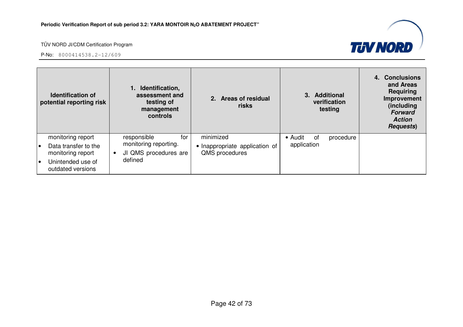

|           | <b>Identification of</b><br>potential reporting risk | Identification,<br>assessment and<br>testing of<br>management<br>controls |                                                  | 2. Areas of residual<br>risks |               |  | 3. Additional<br>verification<br>testing | 4. Conclusions<br>and Areas<br>Requiring<br>Improvement<br>(including<br><b>Forward</b><br><b>Action</b><br><b>Requests</b> ) |
|-----------|------------------------------------------------------|---------------------------------------------------------------------------|--------------------------------------------------|-------------------------------|---------------|--|------------------------------------------|-------------------------------------------------------------------------------------------------------------------------------|
|           | monitoring report                                    | for<br>responsible                                                        |                                                  | minimized                     | • Audit<br>of |  | procedure                                |                                                                                                                               |
| $\bullet$ | Data transfer to the<br>monitoring report            | monitoring reporting.<br>JI QMS procedures are                            | • Inappropriate application of<br>QMS procedures | application                   |               |  |                                          |                                                                                                                               |
| $\bullet$ | Unintended use of<br>outdated versions               | defined                                                                   |                                                  |                               |               |  |                                          |                                                                                                                               |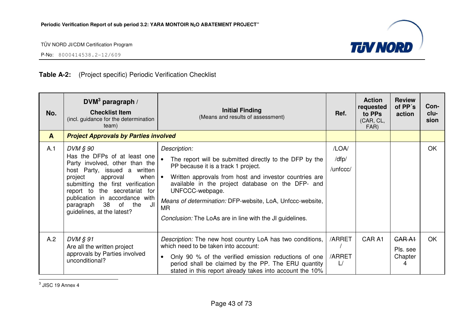



P-No: 8000414538.2-12/609

# **Table A-2:** (Project specific) Periodic Verification Checklist

| No.<br>$\mathbf{A}$ | $DVM3$ paragraph /<br><b>Checklist Item</b><br>(incl. guidance for the determination<br>team)<br><b>Project Approvals by Parties involved</b>                                                                                                                                                                          | <b>Initial Finding</b><br>(Means and results of assessment)                                                                                                                                                                                                                                                                                                                            | Ref.                       | <b>Action</b><br>requested<br>to PPs<br>(CAR, CL,<br>FAR) | <b>Review</b><br>of PP's<br>action | Con-<br>clu-<br>sion |
|---------------------|------------------------------------------------------------------------------------------------------------------------------------------------------------------------------------------------------------------------------------------------------------------------------------------------------------------------|----------------------------------------------------------------------------------------------------------------------------------------------------------------------------------------------------------------------------------------------------------------------------------------------------------------------------------------------------------------------------------------|----------------------------|-----------------------------------------------------------|------------------------------------|----------------------|
| A.1                 | DVM § 90<br>Has the DFPs of at least one<br>Party involved, other than the<br>host Party, issued a written<br>project<br>approval<br>when $\cdot$<br>submitting the first verification<br>report to the secretariat for<br>publication in accordance with<br>- JI<br>paragraph 38 of the<br>guidelines, at the latest? | Description:<br>The report will be submitted directly to the DFP by the<br>PP because it is a track 1 project.<br>Written approvals from host and investor countries are<br>available in the project database on the DFP- and<br>UNFCCC-webpage.<br>Means of determination: DFP-website, LoA, Unfccc-website,<br><b>MR</b><br>Conclusion: The LoAs are in line with the JI guidelines. | /LOA/<br>/dfp/<br>/unfccc/ |                                                           |                                    | OK                   |
| A.2                 | $DVM$ $\S$ 91<br>Are all the written project<br>approvals by Parties involved<br>unconditional?                                                                                                                                                                                                                        | Description: The new host country LoA has two conditions,<br>which need to be taken into account:<br>Only 90 % of the verified emission reductions of one<br>$\bullet$<br>period shall be claimed by the PP. The ERU quantity<br>stated in this report already takes into account the 10%                                                                                              | /ARRET<br>/ARRET<br>L/     | CAR A1                                                    | GAR A1<br>Pls. see<br>Chapter<br>4 | <b>OK</b>            |

 $3$  JISC 19 Annex 4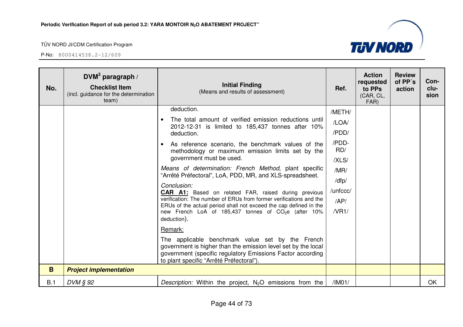P-No: 8000414538.2-12/609



**TUV NORD**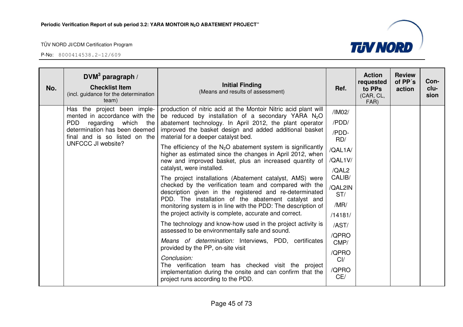

| No. | DVM <sup>3</sup> paragraph /<br><b>Checklist Item</b><br>(incl. guidance for the determination<br>team)                          | <b>Initial Finding</b><br>(Means and results of assessment)                                                                                                                                                                          | Ref.             | <b>Action</b><br>requested<br>to PPs<br>(CAR, CL,<br>FAR) | <b>Review</b><br>of PP's<br>action | Con-<br>clu-<br>sion |
|-----|----------------------------------------------------------------------------------------------------------------------------------|--------------------------------------------------------------------------------------------------------------------------------------------------------------------------------------------------------------------------------------|------------------|-----------------------------------------------------------|------------------------------------|----------------------|
|     | Has the project been imple-<br>mented in accordance with the                                                                     | production of nitric acid at the Montoir Nitric acid plant will<br>be reduced by installation of a secondary YARA $N_2O$                                                                                                             | /IM02/<br>/PDD/  |                                                           |                                    |                      |
|     | <b>PDD</b><br>regarding which the<br>determination has been deemed<br>final and is so listed on the<br><b>UNFCCC JI website?</b> | abatement technology. In April 2012, the plant operator<br>improved the basket design and added additional basket<br>material for a deeper catalyst bed.                                                                             |                  |                                                           |                                    |                      |
|     |                                                                                                                                  | The efficiency of the $N_2O$ abatement system is significantly<br>higher as estimated since the changes in April 2012, when                                                                                                          | RD/<br>/QAL1A/   |                                                           |                                    |                      |
|     |                                                                                                                                  | new and improved basket, plus an increased quantity of<br>catalyst, were installed.                                                                                                                                                  | /QAL1V/          |                                                           |                                    |                      |
|     |                                                                                                                                  | The project installations (Abatement catalyst, AMS) were<br>checked by the verification team and compared with the<br>description given in the registered and re-determinated<br>PDD. The installation of the abatement catalyst and | /QAL2<br>CALIB/  |                                                           |                                    |                      |
|     |                                                                                                                                  |                                                                                                                                                                                                                                      | /QAL2IN<br>ST/   |                                                           |                                    |                      |
|     |                                                                                                                                  | monitoring system is in line with the PDD: The description of<br>the project activity is complete, accurate and correct.                                                                                                             | /MR/             |                                                           |                                    |                      |
|     |                                                                                                                                  | The technology and know-how used in the project activity is                                                                                                                                                                          | /14181/<br>/AST/ |                                                           |                                    |                      |
|     |                                                                                                                                  | assessed to be environmentally safe and sound.                                                                                                                                                                                       | /QPRO            |                                                           |                                    |                      |
|     |                                                                                                                                  | Means of determination: Interviews, PDD, certificates<br>provided by the PP, on-site visit                                                                                                                                           | CMP/<br>/QPRO    |                                                           |                                    |                      |
|     |                                                                                                                                  | Conclusion:                                                                                                                                                                                                                          |                  |                                                           |                                    |                      |
|     |                                                                                                                                  | The verification team has checked visit the project<br>implementation during the onsite and can confirm that the<br>project runs according to the PDD.                                                                               | /QPRO<br>CE/     |                                                           |                                    |                      |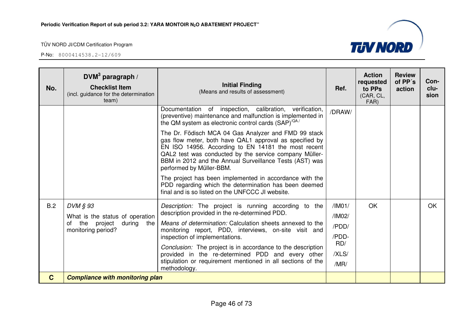| No.         | $DVM3$ paragraph /<br><b>Checklist Item</b><br>(incl. guidance for the determination<br>team)  | <b>Initial Finding</b><br>(Means and results of assessment)                                                                                                                                                                                                                                                                                                                                                                                                       | Ref.                                                       | <b>Action</b><br>requested<br>to PPs<br>(CAR, CL,<br>FAR) | <b>Review</b><br>of PP's<br>action | Con-<br>clu-<br>sion |
|-------------|------------------------------------------------------------------------------------------------|-------------------------------------------------------------------------------------------------------------------------------------------------------------------------------------------------------------------------------------------------------------------------------------------------------------------------------------------------------------------------------------------------------------------------------------------------------------------|------------------------------------------------------------|-----------------------------------------------------------|------------------------------------|----------------------|
|             |                                                                                                | of inspection, calibration, verification,<br>Documentation<br>(preventive) maintenance and malfunction is implemented in<br>the QM system as electronic control cards (SAP) <sup>/QA/</sup>                                                                                                                                                                                                                                                                       | /DRAW/                                                     |                                                           |                                    |                      |
|             |                                                                                                | The Dr. Födisch MCA 04 Gas Analyzer and FMD 99 stack<br>gas flow meter, both have QAL1 approval as specified by<br>EN ISO 14956. According to EN 14181 the most recent<br>QAL2 test was conducted by the service company Müller-<br>BBM in 2012 and the Annual Surveillance Tests (AST) was<br>performed by Müller-BBM.                                                                                                                                           |                                                            |                                                           |                                    |                      |
|             |                                                                                                | The project has been implemented in accordance with the<br>PDD regarding which the determination has been deemed<br>final and is so listed on the UNFCCC JI website.                                                                                                                                                                                                                                                                                              |                                                            |                                                           |                                    |                      |
| B.2         | DVM § 93<br>What is the status of operation<br>of the project during the<br>monitoring period? | Description: The project is running according to the<br>description provided in the re-determined PDD.<br>Means of determination: Calculation sheets annexed to the<br>monitoring report, PDD, interviews, on-site visit and<br>inspection of implementations.<br>Conclusion: The project is in accordance to the description<br>provided in the re-determined PDD and every other<br>stipulation or requirement mentioned in all sections of the<br>methodology. | /IM01/<br>/IM02/<br>/PDD/<br>/PDD-<br>RD/<br>/XLS/<br>/MR/ | OK                                                        |                                    | OK.                  |
| $\mathbf C$ | <b>Compliance with monitoring plan</b>                                                         |                                                                                                                                                                                                                                                                                                                                                                                                                                                                   |                                                            |                                                           |                                    |                      |

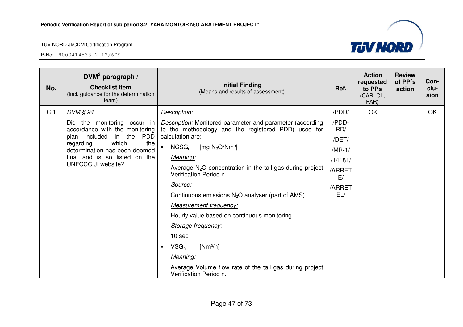

| No. | DVM <sup>3</sup> paragraph /<br><b>Checklist Item</b><br>(incl. guidance for the determination<br>team)                                                                                                               | <b>Initial Finding</b><br>(Means and results of assessment)                                                      | Ref.         | <b>Action</b><br>requested<br>to PPs<br>(CAR, CL,<br>FAR) | <b>Review</b><br>of PP's<br>action | Con-<br>clu-<br>sion |
|-----|-----------------------------------------------------------------------------------------------------------------------------------------------------------------------------------------------------------------------|------------------------------------------------------------------------------------------------------------------|--------------|-----------------------------------------------------------|------------------------------------|----------------------|
| C.1 | $DVM \S 94$                                                                                                                                                                                                           | Description:                                                                                                     | /PDD/        | OK                                                        |                                    | OK                   |
|     | Did the monitoring occur in<br>accordance with the monitoring<br>plan included in the PDD<br>which<br>the<br>regarding<br>determination has been deemed<br>final and is so listed on the<br><b>UNFCCC JI website?</b> | Description: Monitored parameter and parameter (according<br>to the methodology and the registered PDD) used for | /PDD-<br>RD/ |                                                           |                                    |                      |
|     |                                                                                                                                                                                                                       | calculation are:                                                                                                 | /DET/        |                                                           |                                    |                      |
|     |                                                                                                                                                                                                                       | $NCSG_n$<br>[mg $N_2O/Nm^3$ ]<br>$\bullet$                                                                       | $/MR-1/$     |                                                           |                                    |                      |
|     |                                                                                                                                                                                                                       | Meaning:                                                                                                         | /14181/      |                                                           |                                    |                      |
|     |                                                                                                                                                                                                                       | Average $N_2O$ concentration in the tail gas during project<br>Verification Period n.                            | /ARRET<br>E/ |                                                           |                                    |                      |
|     |                                                                                                                                                                                                                       | Source:                                                                                                          | /ARRET       |                                                           |                                    |                      |
|     |                                                                                                                                                                                                                       | Continuous emissions $N_2O$ analyser (part of AMS)                                                               | EL/          |                                                           |                                    |                      |
|     |                                                                                                                                                                                                                       | <b>Measurement frequency:</b>                                                                                    |              |                                                           |                                    |                      |
|     |                                                                                                                                                                                                                       | Hourly value based on continuous monitoring                                                                      |              |                                                           |                                    |                      |
|     |                                                                                                                                                                                                                       | Storage frequency:                                                                                               |              |                                                           |                                    |                      |
|     |                                                                                                                                                                                                                       | 10 sec                                                                                                           |              |                                                           |                                    |                      |
|     |                                                                                                                                                                                                                       | $VSG_n$<br>$[Nm^3/h]$<br>$\bullet$                                                                               |              |                                                           |                                    |                      |
|     |                                                                                                                                                                                                                       | Meaning:                                                                                                         |              |                                                           |                                    |                      |
|     |                                                                                                                                                                                                                       | Average Volume flow rate of the tail gas during project<br>Verification Period n.                                |              |                                                           |                                    |                      |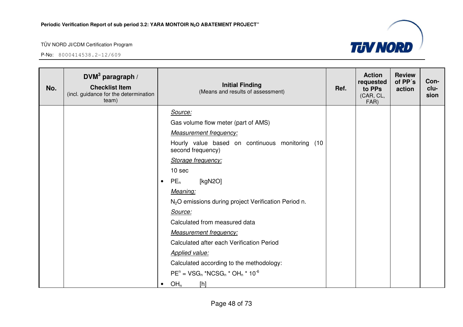

| No. | DVM <sup>3</sup> paragraph /<br><b>Checklist Item</b><br>(incl. guidance for the determination<br>team) | <b>Initial Finding</b><br>(Means and results of assessment)          | Ref. | <b>Action</b><br>requested<br>to PPs<br>(CAR, CL,<br>FAR) | <b>Review</b><br>of PP's<br>action | Con-<br>clu-<br>sion |
|-----|---------------------------------------------------------------------------------------------------------|----------------------------------------------------------------------|------|-----------------------------------------------------------|------------------------------------|----------------------|
|     |                                                                                                         | Source:                                                              |      |                                                           |                                    |                      |
|     |                                                                                                         | Gas volume flow meter (part of AMS)                                  |      |                                                           |                                    |                      |
|     |                                                                                                         | <b>Measurement frequency:</b>                                        |      |                                                           |                                    |                      |
|     |                                                                                                         | Hourly value based on continuous monitoring (10<br>second frequency) |      |                                                           |                                    |                      |
|     |                                                                                                         | Storage frequency:                                                   |      |                                                           |                                    |                      |
|     |                                                                                                         | 10 sec                                                               |      |                                                           |                                    |                      |
|     |                                                                                                         | $PE_n$<br>[kgN2O]<br>$\bullet$                                       |      |                                                           |                                    |                      |
|     |                                                                                                         | Meaning:                                                             |      |                                                           |                                    |                      |
|     |                                                                                                         | N <sub>2</sub> O emissions during project Verification Period n.     |      |                                                           |                                    |                      |
|     |                                                                                                         | Source:                                                              |      |                                                           |                                    |                      |
|     |                                                                                                         | Calculated from measured data                                        |      |                                                           |                                    |                      |
|     |                                                                                                         | <b>Measurement frequency:</b>                                        |      |                                                           |                                    |                      |
|     |                                                                                                         | Calculated after each Verification Period                            |      |                                                           |                                    |                      |
|     |                                                                                                         | <b>Applied value:</b>                                                |      |                                                           |                                    |                      |
|     |                                                                                                         | Calculated according to the methodology:                             |      |                                                           |                                    |                      |
|     |                                                                                                         | $PEn = VSGn * NCSGn * OHn * 10-6$                                    |      |                                                           |                                    |                      |
|     |                                                                                                         | OH <sub>n</sub><br>[h]<br>$\bullet$                                  |      |                                                           |                                    |                      |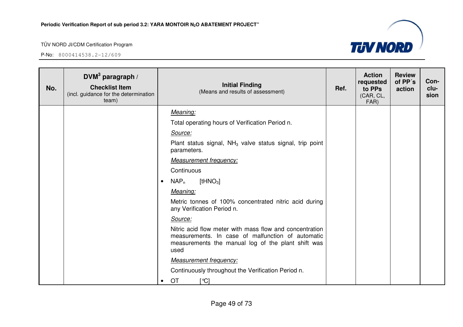

| No. | DVM <sup>3</sup> paragraph /<br><b>Checklist Item</b><br>(incl. guidance for the determination<br>team) |           | <b>Initial Finding</b><br>(Means and results of assessment)                                                                                                                | Ref. | <b>Action</b><br>requested<br>to PPs<br>(CAR, CL,<br>FAR) | <b>Review</b><br>of PP's<br>action | Con-<br>clu-<br>sion |
|-----|---------------------------------------------------------------------------------------------------------|-----------|----------------------------------------------------------------------------------------------------------------------------------------------------------------------------|------|-----------------------------------------------------------|------------------------------------|----------------------|
|     |                                                                                                         |           | Meaning:                                                                                                                                                                   |      |                                                           |                                    |                      |
|     |                                                                                                         |           | Total operating hours of Verification Period n.                                                                                                                            |      |                                                           |                                    |                      |
|     |                                                                                                         |           | Source:                                                                                                                                                                    |      |                                                           |                                    |                      |
|     |                                                                                                         |           | Plant status signal, $NH3$ valve status signal, trip point<br>parameters.                                                                                                  |      |                                                           |                                    |                      |
|     |                                                                                                         |           | <b>Measurement frequency:</b>                                                                                                                                              |      |                                                           |                                    |                      |
|     |                                                                                                         |           | Continuous                                                                                                                                                                 |      |                                                           |                                    |                      |
|     |                                                                                                         | $\bullet$ | [tHNO <sub>3</sub> ]<br>$NAP_n$                                                                                                                                            |      |                                                           |                                    |                      |
|     |                                                                                                         |           | Meaning:                                                                                                                                                                   |      |                                                           |                                    |                      |
|     |                                                                                                         |           | Metric tonnes of 100% concentrated nitric acid during<br>any Verification Period n.                                                                                        |      |                                                           |                                    |                      |
|     |                                                                                                         |           | Source:                                                                                                                                                                    |      |                                                           |                                    |                      |
|     |                                                                                                         |           | Nitric acid flow meter with mass flow and concentration<br>measurements. In case of malfunction of automatic<br>measurements the manual log of the plant shift was<br>used |      |                                                           |                                    |                      |
|     |                                                                                                         |           | <b>Measurement frequency:</b>                                                                                                                                              |      |                                                           |                                    |                      |
|     |                                                                                                         |           | Continuously throughout the Verification Period n.                                                                                                                         |      |                                                           |                                    |                      |
|     |                                                                                                         | $\bullet$ | OT<br>[℃]                                                                                                                                                                  |      |                                                           |                                    |                      |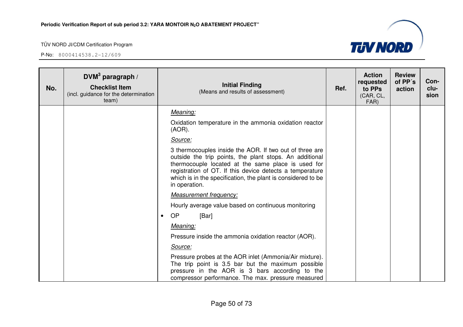

| No. | $DVM3$ paragraph /<br><b>Checklist Item</b><br>(incl. guidance for the determination<br>team) |           | <b>Initial Finding</b><br>(Means and results of assessment)                                                                                                                                                                                                                                                           | Ref. | <b>Action</b><br>requested<br>to PPs<br>(CAR, CL,<br>FAR) | <b>Review</b><br>of PP's<br>action | Con-<br>clu-<br>sion |
|-----|-----------------------------------------------------------------------------------------------|-----------|-----------------------------------------------------------------------------------------------------------------------------------------------------------------------------------------------------------------------------------------------------------------------------------------------------------------------|------|-----------------------------------------------------------|------------------------------------|----------------------|
|     |                                                                                               |           | Meaning:                                                                                                                                                                                                                                                                                                              |      |                                                           |                                    |                      |
|     |                                                                                               |           | Oxidation temperature in the ammonia oxidation reactor<br>$(AOR)$ .                                                                                                                                                                                                                                                   |      |                                                           |                                    |                      |
|     |                                                                                               |           | Source:                                                                                                                                                                                                                                                                                                               |      |                                                           |                                    |                      |
|     |                                                                                               |           | 3 thermocouples inside the AOR. If two out of three are<br>outside the trip points, the plant stops. An additional<br>thermocouple located at the same place is used for<br>registration of OT. If this device detects a temperature<br>which is in the specification, the plant is considered to be<br>in operation. |      |                                                           |                                    |                      |
|     |                                                                                               |           | <b>Measurement frequency:</b>                                                                                                                                                                                                                                                                                         |      |                                                           |                                    |                      |
|     |                                                                                               |           | Hourly average value based on continuous monitoring                                                                                                                                                                                                                                                                   |      |                                                           |                                    |                      |
|     |                                                                                               | $\bullet$ | <b>OP</b><br>[Bar]                                                                                                                                                                                                                                                                                                    |      |                                                           |                                    |                      |
|     |                                                                                               |           | Meaning:                                                                                                                                                                                                                                                                                                              |      |                                                           |                                    |                      |
|     |                                                                                               |           | Pressure inside the ammonia oxidation reactor (AOR).                                                                                                                                                                                                                                                                  |      |                                                           |                                    |                      |
|     |                                                                                               |           | Source:                                                                                                                                                                                                                                                                                                               |      |                                                           |                                    |                      |
|     |                                                                                               |           | Pressure probes at the AOR inlet (Ammonia/Air mixture).<br>The trip point is 3.5 bar but the maximum possible<br>pressure in the AOR is 3 bars according to the<br>compressor performance. The max. pressure measured                                                                                                 |      |                                                           |                                    |                      |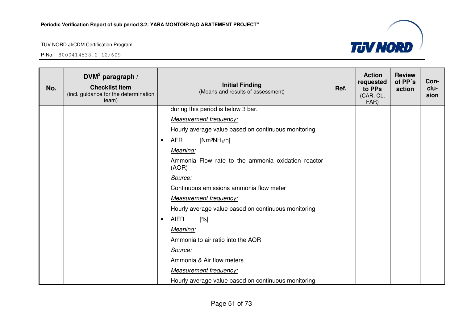

| No. | DVM <sup>3</sup> paragraph /<br><b>Checklist Item</b><br>(incl. guidance for the determination<br>team) | <b>Initial Finding</b><br>(Means and results of assessment) | Ref. | <b>Action</b><br>requested<br>to PPs<br>(CAR, CL,<br>FAR) | <b>Review</b><br>of PP's<br>action | Con-<br>clu-<br>sion |
|-----|---------------------------------------------------------------------------------------------------------|-------------------------------------------------------------|------|-----------------------------------------------------------|------------------------------------|----------------------|
|     |                                                                                                         | during this period is below 3 bar.                          |      |                                                           |                                    |                      |
|     |                                                                                                         | <b>Measurement frequency:</b>                               |      |                                                           |                                    |                      |
|     |                                                                                                         | Hourly average value based on continuous monitoring         |      |                                                           |                                    |                      |
|     |                                                                                                         | <b>AFR</b><br>[ $Nm^3NH_3/h$ ]<br>$\bullet$                 |      |                                                           |                                    |                      |
|     |                                                                                                         | Meaning:                                                    |      |                                                           |                                    |                      |
|     |                                                                                                         | Ammonia Flow rate to the ammonia oxidation reactor<br>(AOR) |      |                                                           |                                    |                      |
|     |                                                                                                         | Source:                                                     |      |                                                           |                                    |                      |
|     |                                                                                                         | Continuous emissions ammonia flow meter                     |      |                                                           |                                    |                      |
|     |                                                                                                         | <b>Measurement frequency:</b>                               |      |                                                           |                                    |                      |
|     |                                                                                                         | Hourly average value based on continuous monitoring         |      |                                                           |                                    |                      |
|     |                                                                                                         | <b>AIFR</b><br>[%]<br>$\bullet$                             |      |                                                           |                                    |                      |
|     |                                                                                                         | Meaning:                                                    |      |                                                           |                                    |                      |
|     |                                                                                                         | Ammonia to air ratio into the AOR                           |      |                                                           |                                    |                      |
|     |                                                                                                         | Source:                                                     |      |                                                           |                                    |                      |
|     |                                                                                                         | Ammonia & Air flow meters                                   |      |                                                           |                                    |                      |
|     |                                                                                                         | <b>Measurement frequency:</b>                               |      |                                                           |                                    |                      |
|     |                                                                                                         | Hourly average value based on continuous monitoring         |      |                                                           |                                    |                      |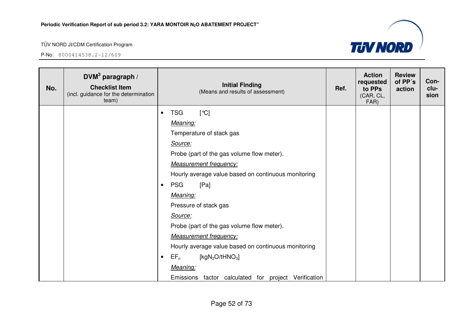

| No. | DVM <sup>3</sup> paragraph /<br><b>Checklist Item</b><br>(incl. guidance for the determination<br>team) |           | <b>Initial Finding</b><br>(Means and results of assessment) | Ref. | <b>Action</b><br>requested<br>to PPs<br>(CAR, CL,<br>FAR) | <b>Review</b><br>of PP's<br>action | Con-<br>clu-<br>sion |
|-----|---------------------------------------------------------------------------------------------------------|-----------|-------------------------------------------------------------|------|-----------------------------------------------------------|------------------------------------|----------------------|
|     |                                                                                                         | $\bullet$ | <b>TSG</b><br>$\lceil$ °C]                                  |      |                                                           |                                    |                      |
|     |                                                                                                         |           | Meaning:                                                    |      |                                                           |                                    |                      |
|     |                                                                                                         |           | Temperature of stack gas                                    |      |                                                           |                                    |                      |
|     |                                                                                                         |           | Source:                                                     |      |                                                           |                                    |                      |
|     |                                                                                                         |           | Probe (part of the gas volume flow meter).                  |      |                                                           |                                    |                      |
|     |                                                                                                         |           | <b>Measurement frequency:</b>                               |      |                                                           |                                    |                      |
|     |                                                                                                         |           | Hourly average value based on continuous monitoring         |      |                                                           |                                    |                      |
|     |                                                                                                         | $\bullet$ | <b>PSG</b><br>[Pa]                                          |      |                                                           |                                    |                      |
|     |                                                                                                         |           | Meaning:                                                    |      |                                                           |                                    |                      |
|     |                                                                                                         |           | Pressure of stack gas                                       |      |                                                           |                                    |                      |
|     |                                                                                                         |           | Source:                                                     |      |                                                           |                                    |                      |
|     |                                                                                                         |           | Probe (part of the gas volume flow meter).                  |      |                                                           |                                    |                      |
|     |                                                                                                         |           | <b>Measurement frequency:</b>                               |      |                                                           |                                    |                      |
|     |                                                                                                         |           | Hourly average value based on continuous monitoring         |      |                                                           |                                    |                      |
|     |                                                                                                         | $\bullet$ | $EF_n$<br>[kgN <sub>2</sub> O/tHNO <sub>3</sub> ]           |      |                                                           |                                    |                      |
|     |                                                                                                         |           | Meaning:                                                    |      |                                                           |                                    |                      |
|     |                                                                                                         |           | Emissions factor calculated for project Verification        |      |                                                           |                                    |                      |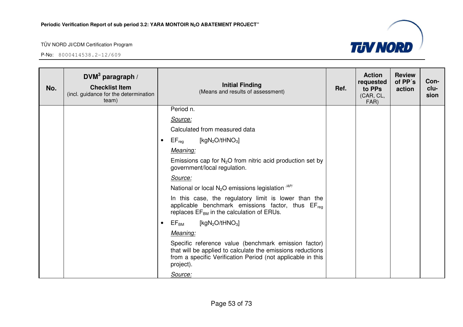

| No. | DVM <sup>3</sup> paragraph /<br><b>Checklist Item</b><br>(incl. guidance for the determination<br>team) | <b>Initial Finding</b><br>(Means and results of assessment)                                                                                                                                    | Ref. | <b>Action</b><br>requested<br>to PPs<br>(CAR, CL,<br>FAR) | <b>Review</b><br>of PP's<br>action | Con-<br>clu-<br>sion |
|-----|---------------------------------------------------------------------------------------------------------|------------------------------------------------------------------------------------------------------------------------------------------------------------------------------------------------|------|-----------------------------------------------------------|------------------------------------|----------------------|
|     |                                                                                                         | Period n.                                                                                                                                                                                      |      |                                                           |                                    |                      |
|     |                                                                                                         | Source:                                                                                                                                                                                        |      |                                                           |                                    |                      |
|     |                                                                                                         | Calculated from measured data                                                                                                                                                                  |      |                                                           |                                    |                      |
|     |                                                                                                         | [kg $N_2O/tHNO_3$ ]<br>$\mathsf{EF}_\mathsf{reg}$<br>$\bullet$                                                                                                                                 |      |                                                           |                                    |                      |
|     |                                                                                                         | Meaning:                                                                                                                                                                                       |      |                                                           |                                    |                      |
|     |                                                                                                         | Emissions cap for $N_2O$ from nitric acid production set by<br>government/local regulation.                                                                                                    |      |                                                           |                                    |                      |
|     |                                                                                                         | Source:                                                                                                                                                                                        |      |                                                           |                                    |                      |
|     |                                                                                                         | National or local $N_2O$ emissions legislation $AP$                                                                                                                                            |      |                                                           |                                    |                      |
|     |                                                                                                         | In this case, the regulatory limit is lower than the<br>applicable benchmark emissions factor, thus EF <sub>req</sub><br>replaces $EF_{BM}$ in the calculation of ERUs.                        |      |                                                           |                                    |                      |
|     |                                                                                                         | [kg $N_2O$ /t $HNO_3$ ]<br>$\mathsf{EF}_\mathsf{BM}$<br>$\bullet$                                                                                                                              |      |                                                           |                                    |                      |
|     |                                                                                                         | Meaning:                                                                                                                                                                                       |      |                                                           |                                    |                      |
|     |                                                                                                         | Specific reference value (benchmark emission factor)<br>that will be applied to calculate the emissions reductions<br>from a specific Verification Period (not applicable in this<br>project). |      |                                                           |                                    |                      |
|     |                                                                                                         | Source:                                                                                                                                                                                        |      |                                                           |                                    |                      |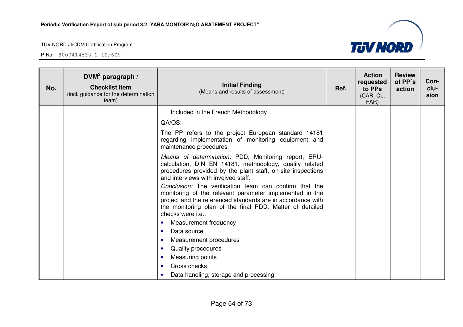

| No. | DVM $3$ paragraph /<br><b>Checklist Item</b><br>(incl. guidance for the determination<br>team) | <b>Initial Finding</b><br>(Means and results of assessment)                                                                                                                                                                                                       | Ref. | <b>Action</b><br>requested<br>to PPs<br>(CAR, CL,<br>FAR) | <b>Review</b><br>of PP's<br>action | Con-<br>clu-<br>sion |
|-----|------------------------------------------------------------------------------------------------|-------------------------------------------------------------------------------------------------------------------------------------------------------------------------------------------------------------------------------------------------------------------|------|-----------------------------------------------------------|------------------------------------|----------------------|
|     |                                                                                                | Included in the French Methodology                                                                                                                                                                                                                                |      |                                                           |                                    |                      |
|     |                                                                                                | QA/QS:                                                                                                                                                                                                                                                            |      |                                                           |                                    |                      |
|     |                                                                                                | The PP refers to the project European standard 14181<br>regarding implementation of monitoring equipment and<br>maintenance procedures.                                                                                                                           |      |                                                           |                                    |                      |
|     |                                                                                                | Means of determination: PDD, Monitoring report, ERU-<br>calculation, DIN EN 14181, methodology, quality related<br>procedures provided by the plant staff, on-site inspections<br>and interviews with involved staff.                                             |      |                                                           |                                    |                      |
|     |                                                                                                | Conclusion: The verification team can confirm that the<br>monitoring of the relevant parameter implemented in the<br>project and the referenced standards are in accordance with<br>the monitoring plan of the final PDD. Matter of detailed<br>checks were i.e.: |      |                                                           |                                    |                      |
|     |                                                                                                | Measurement frequency<br>$\bullet$                                                                                                                                                                                                                                |      |                                                           |                                    |                      |
|     |                                                                                                | Data source<br>$\bullet$                                                                                                                                                                                                                                          |      |                                                           |                                    |                      |
|     |                                                                                                | Measurement procedures<br>$\bullet$                                                                                                                                                                                                                               |      |                                                           |                                    |                      |
|     |                                                                                                | Quality procedures<br>$\bullet$                                                                                                                                                                                                                                   |      |                                                           |                                    |                      |
|     |                                                                                                | Measuring points<br>٠                                                                                                                                                                                                                                             |      |                                                           |                                    |                      |
|     |                                                                                                | Cross checks<br>$\bullet$                                                                                                                                                                                                                                         |      |                                                           |                                    |                      |
|     |                                                                                                | Data handling, storage and processing<br>$\bullet$                                                                                                                                                                                                                |      |                                                           |                                    |                      |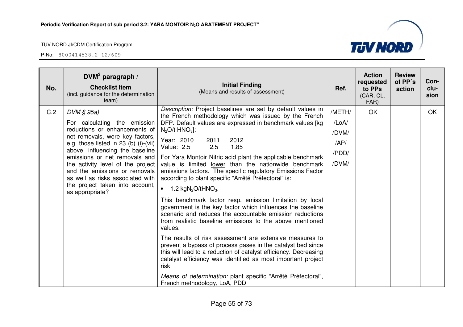

| No. | DVM <sup>3</sup> paragraph /<br><b>Checklist Item</b><br>(incl. guidance for the determination<br>team)                                                                                                                                                                                                                                                                                       | <b>Initial Finding</b><br>(Means and results of assessment)                                                                                                                                                                                                                                                                                                                                                                                                                                                                                                                                                                                                                                                                                                                                                                                                                                                                                                                                                                                                                                                                                                                                               | Ref.                                              | <b>Action</b><br>requested<br>to PPs<br>(CAR, CL,<br>FAR) | <b>Review</b><br>of PP's<br>action | Con-<br>clu-<br>sion |
|-----|-----------------------------------------------------------------------------------------------------------------------------------------------------------------------------------------------------------------------------------------------------------------------------------------------------------------------------------------------------------------------------------------------|-----------------------------------------------------------------------------------------------------------------------------------------------------------------------------------------------------------------------------------------------------------------------------------------------------------------------------------------------------------------------------------------------------------------------------------------------------------------------------------------------------------------------------------------------------------------------------------------------------------------------------------------------------------------------------------------------------------------------------------------------------------------------------------------------------------------------------------------------------------------------------------------------------------------------------------------------------------------------------------------------------------------------------------------------------------------------------------------------------------------------------------------------------------------------------------------------------------|---------------------------------------------------|-----------------------------------------------------------|------------------------------------|----------------------|
| C.2 | $DVM \S 95a$<br>For calculating the emission<br>reductions or enhancements of<br>net removals, were key factors,<br>e.g. those listed in 23 (b) (i)-(vii)<br>above, influencing the baseline<br>emissions or net removals and<br>the activity level of the project<br>and the emissions or removals<br>as well as risks associated with<br>the project taken into account,<br>as appropriate? | Description: Project baselines are set by default values in<br>the French methodology which was issued by the French<br>DFP. Default values are expressed in benchmark values [kg<br>$N_2O/t$ HNO <sub>3</sub> :<br>Year: 2010<br>2012<br>2011<br>1.85<br><b>Value: 2.5</b><br>2.5<br>For Yara Montoir Nitric acid plant the applicable benchmark<br>value is limited lower than the nationwide benchmark<br>emissions factors. The specific regulatory Emissions Factor<br>according to plant specific "Arrêté Préfectoral" is:<br>$\bullet$<br>1.2 $kgN_2O/HNO_3$ .<br>This benchmark factor resp. emission limitation by local<br>government is the key factor which influences the baseline<br>scenario and reduces the accountable emission reductions<br>from realistic baseline emissions to the above mentioned<br>values.<br>The results of risk assessment are extensive measures to<br>prevent a bypass of process gases in the catalyst bed since<br>this will lead to a reduction of catalyst efficiency. Decreasing<br>catalyst efficiency was identified as most important project<br>risk<br>Means of determination: plant specific "Arrêté Préfectoral",<br>French methodology, LoA, PDD | /METH/<br>/LoA/<br>/DVM/<br>AP/<br>/PDD/<br>/DVM/ | OK                                                        |                                    | <b>OK</b>            |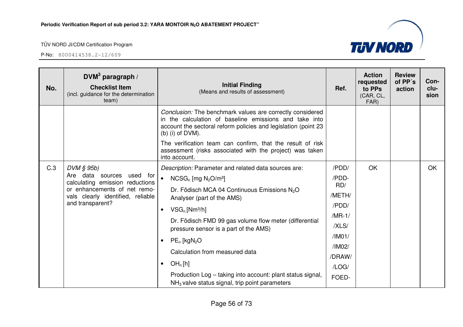| No. | DVM <sup>3</sup> paragraph /<br><b>Checklist Item</b><br>(incl. guidance for the determination<br>team)                           | <b>Initial Finding</b><br>(Means and results of assessment)                                                                                                                                                 | Ref.             | <b>Action</b><br>requested<br>to PPs<br>(CAR, CL,<br>FAR) | <b>Review</b><br>of PP's<br>action | Con-<br>clu-<br>sion |
|-----|-----------------------------------------------------------------------------------------------------------------------------------|-------------------------------------------------------------------------------------------------------------------------------------------------------------------------------------------------------------|------------------|-----------------------------------------------------------|------------------------------------|----------------------|
|     |                                                                                                                                   | Conclusion: The benchmark values are correctly considered<br>in the calculation of baseline emissions and take into<br>account the sectoral reform policies and legislation (point 23<br>$(b)$ (i) of DVM). |                  |                                                           |                                    |                      |
|     |                                                                                                                                   | The verification team can confirm, that the result of risk<br>assessment (risks associated with the project) was taken<br>into account.                                                                     |                  |                                                           |                                    |                      |
| C.3 | $DVM \S 95b$                                                                                                                      | Description: Parameter and related data sources are:                                                                                                                                                        | /PDD/            | OK                                                        |                                    | <b>OK</b>            |
|     | Are data sources used for<br>calculating emission reductions<br>or enhancements of net remo-<br>vals clearly identified, reliable | $NCSG_n$ [mg $N_2O/m^3$ ]                                                                                                                                                                                   | /PDD-            |                                                           |                                    |                      |
|     |                                                                                                                                   | Dr. Födisch MCA 04 Continuous Emissions N <sub>2</sub> O<br>Analyser (part of the AMS)                                                                                                                      | RD/<br>/METH/    |                                                           |                                    |                      |
|     | and transparent?                                                                                                                  | $VSG_n$ [Nm <sup>3</sup> /h]<br>$\bullet$                                                                                                                                                                   | /PDD/            |                                                           |                                    |                      |
|     |                                                                                                                                   | Dr. Födisch FMD 99 gas volume flow meter (differential                                                                                                                                                      | $/MR-1/$         |                                                           |                                    |                      |
|     |                                                                                                                                   | pressure sensor is a part of the AMS)                                                                                                                                                                       | /XLS/            |                                                           |                                    |                      |
|     |                                                                                                                                   | $PE_n$ [kgN <sub>2</sub> O                                                                                                                                                                                  | /IM01/           |                                                           |                                    |                      |
|     |                                                                                                                                   | Calculation from measured data                                                                                                                                                                              | /IM02/<br>/DRAW/ |                                                           |                                    |                      |
|     |                                                                                                                                   | OH <sub>n</sub> [h]<br>$\bullet$                                                                                                                                                                            | /LOG/            |                                                           |                                    |                      |
|     |                                                                                                                                   | Production Log - taking into account: plant status signal,<br>$NH3$ valve status signal, trip point parameters                                                                                              | FOED-            |                                                           |                                    |                      |

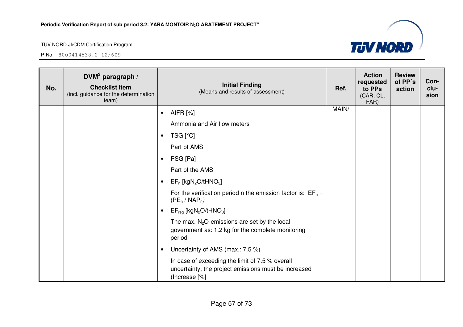| No. | DVM $3$ paragraph /<br><b>Checklist Item</b><br>(incl. guidance for the determination<br>team) | <b>Initial Finding</b><br>(Means and results of assessment)                                                                  | Ref.  | <b>Action</b><br>requested<br>to PPs<br>(CAR, CL,<br>FAR) | <b>Review</b><br>of PP's<br>action | Con-<br>clu-<br>sion |
|-----|------------------------------------------------------------------------------------------------|------------------------------------------------------------------------------------------------------------------------------|-------|-----------------------------------------------------------|------------------------------------|----------------------|
|     |                                                                                                | AIFR [%]<br>$\bullet$                                                                                                        | MAIN/ |                                                           |                                    |                      |
|     |                                                                                                | Ammonia and Air flow meters                                                                                                  |       |                                                           |                                    |                      |
|     |                                                                                                | TSG [℃]<br>$\bullet$                                                                                                         |       |                                                           |                                    |                      |
|     |                                                                                                | Part of AMS                                                                                                                  |       |                                                           |                                    |                      |
|     |                                                                                                | PSG [Pa]<br>$\bullet$                                                                                                        |       |                                                           |                                    |                      |
|     |                                                                                                | Part of the AMS                                                                                                              |       |                                                           |                                    |                      |
|     |                                                                                                | $EF_n$ [kgN <sub>2</sub> O/tHNO <sub>3</sub> ]                                                                               |       |                                                           |                                    |                      |
|     |                                                                                                | For the verification period n the emission factor is: $EF_n =$<br>$(PE_n / NAP_n)$                                           |       |                                                           |                                    |                      |
|     |                                                                                                | $EF_{reg}$ [kgN <sub>2</sub> O/tHNO <sub>3</sub> ]<br>$\bullet$                                                              |       |                                                           |                                    |                      |
|     |                                                                                                | The max. $N_2O$ -emissions are set by the local<br>government as: 1.2 kg for the complete monitoring<br>period               |       |                                                           |                                    |                      |
|     |                                                                                                | Uncertainty of AMS (max.: 7.5 %)                                                                                             |       |                                                           |                                    |                      |
|     |                                                                                                | In case of exceeding the limit of 7.5 % overall<br>uncertainty, the project emissions must be increased<br>$(Increase [%] =$ |       |                                                           |                                    |                      |

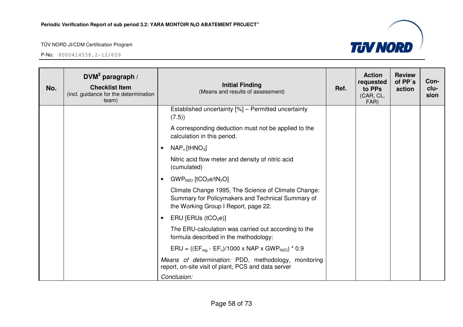

| No. | DVM <sup>3</sup> paragraph /<br><b>Checklist Item</b><br>(incl. guidance for the determination<br>team) | <b>Initial Finding</b><br>(Means and results of assessment)                                                                                      | Ref. | <b>Action</b><br>requested<br>to PPs<br>(CAR, CL,<br>FAR) | <b>Review</b><br>of PP's<br>action | Con-<br>clu-<br>sion |
|-----|---------------------------------------------------------------------------------------------------------|--------------------------------------------------------------------------------------------------------------------------------------------------|------|-----------------------------------------------------------|------------------------------------|----------------------|
|     |                                                                                                         | Established uncertainty [%] - Permitted uncertainty<br>(7.5)                                                                                     |      |                                                           |                                    |                      |
|     |                                                                                                         | A corresponding deduction must not be applied to the<br>calculation in this period.                                                              |      |                                                           |                                    |                      |
|     |                                                                                                         | $NAP_n$ [tHNO <sub>3</sub> ]                                                                                                                     |      |                                                           |                                    |                      |
|     |                                                                                                         | Nitric acid flow meter and density of nitric acid<br>(cumulated)                                                                                 |      |                                                           |                                    |                      |
|     |                                                                                                         | $GWP_{N2O}$ [tCO <sub>2</sub> e/tN <sub>2</sub> O]<br>$\bullet$                                                                                  |      |                                                           |                                    |                      |
|     |                                                                                                         | Climate Change 1995, The Science of Climate Change:<br>Summary for Policymakers and Technical Summary of<br>the Working Group I Report, page 22. |      |                                                           |                                    |                      |
|     |                                                                                                         | ERU [ERUs $(tCO2e)$ ]<br>$\bullet$                                                                                                               |      |                                                           |                                    |                      |
|     |                                                                                                         | The ERU-calculation was carried out according to the<br>formula described in the methodology:                                                    |      |                                                           |                                    |                      |
|     |                                                                                                         | $ERU = ((EF_{reg} - EF_n)/1000 \times NAP \times GWP_{N2O}) * 0.9$                                                                               |      |                                                           |                                    |                      |
|     |                                                                                                         | Means of determination: PDD, methodology, monitoring<br>report, on-site visit of plant, PCS and data server                                      |      |                                                           |                                    |                      |
|     |                                                                                                         | Conclusion:                                                                                                                                      |      |                                                           |                                    |                      |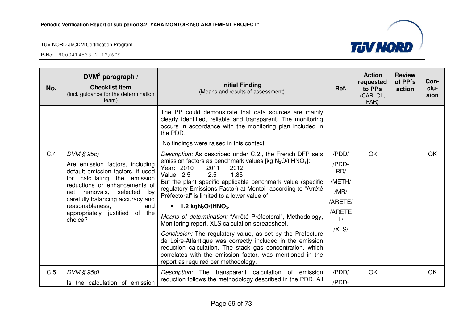| No. | DVM <sup>3</sup> paragraph /<br><b>Checklist Item</b><br>(incl. guidance for the determination<br>team)                                                                                                                                                                                             | <b>Initial Finding</b><br>(Means and results of assessment)                                                                                                                                                                                                                                                                                                                                                                                                                                                                                                                                                                                                                                                                                                                                                                                                 | Ref.                                                                        | <b>Action</b><br>requested<br>to PPs<br>(CAR, CL,<br>FAR) | <b>Review</b><br>of PP's<br>action | Con-<br>clu-<br>sion |
|-----|-----------------------------------------------------------------------------------------------------------------------------------------------------------------------------------------------------------------------------------------------------------------------------------------------------|-------------------------------------------------------------------------------------------------------------------------------------------------------------------------------------------------------------------------------------------------------------------------------------------------------------------------------------------------------------------------------------------------------------------------------------------------------------------------------------------------------------------------------------------------------------------------------------------------------------------------------------------------------------------------------------------------------------------------------------------------------------------------------------------------------------------------------------------------------------|-----------------------------------------------------------------------------|-----------------------------------------------------------|------------------------------------|----------------------|
|     |                                                                                                                                                                                                                                                                                                     | The PP could demonstrate that data sources are mainly<br>clearly identified, reliable and transparent. The monitoring<br>occurs in accordance with the monitoring plan included in<br>the PDD.<br>No findings were raised in this context.                                                                                                                                                                                                                                                                                                                                                                                                                                                                                                                                                                                                                  |                                                                             |                                                           |                                    |                      |
| C.4 | $DVM \S 95c$<br>Are emission factors, including<br>default emission factors, if used<br>for calculating the emission<br>reductions or enhancements of<br>net removals,<br>selected<br>by<br>carefully balancing accuracy and<br>reasonableness.<br>and<br>appropriately justified of the<br>choice? | Description: As described under C.2., the French DFP sets<br>emission factors as benchmark values [kg N <sub>2</sub> O/t HNO <sub>3</sub> ]:<br>Year: 2010<br>2011<br>2012<br>Value: 2.5<br>2.5<br>1.85<br>But the plant specific applicable benchmark value (specific<br>regulatory Emissions Factor) at Montoir according to "Arrêté<br>Préfectoral" is limited to a lower value of<br>$\bullet$ 1.2 kgN <sub>2</sub> O/tHNO <sub>3</sub> .<br>Means of determination: "Arrêté Préfectoral", Methodology,<br>Monitoring report, XLS calculation spreadsheet.<br>Conclusion: The regulatory value, as set by the Prefecture<br>de Loire-Atlantique was correctly included in the emission<br>reduction calculation. The stack gas concentration, which<br>correlates with the emission factor, was mentioned in the<br>report as required per methodology. | /PDD/<br>/PDD-<br>RD/<br>/METH/<br>/MR/<br>/ARETE/<br>/ARETE<br>L/<br>/XLS/ | OK                                                        |                                    | <b>OK</b>            |
| C.5 | DVM § 95d)<br>Is the calculation of emission                                                                                                                                                                                                                                                        | Description: The transparent calculation of emission<br>reduction follows the methodology described in the PDD. All                                                                                                                                                                                                                                                                                                                                                                                                                                                                                                                                                                                                                                                                                                                                         | /PDD/<br>/PDD-                                                              | OK                                                        |                                    | OK.                  |

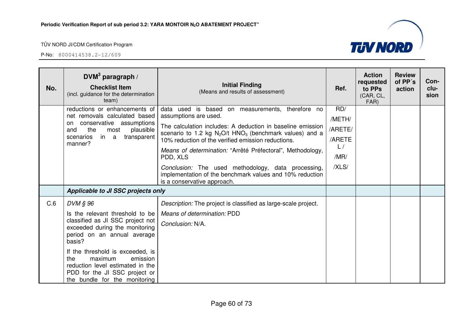reduction level estimated in the PDD for the JI SSC project or the bundle for the monitoring

P-No: 8000414538.2-12/609



**Conclusion**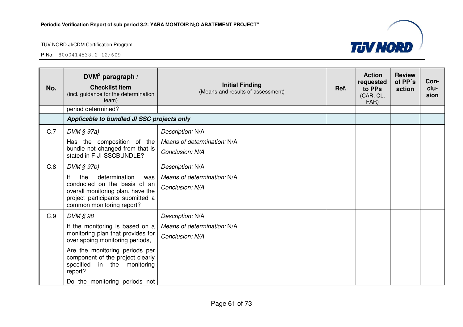

| No. | DVM <sup>3</sup> paragraph /<br><b>Checklist Item</b><br>(incl. guidance for the determination<br>team)                                                                 | <b>Initial Finding</b><br>(Means and results of assessment) | Ref. | <b>Action</b><br>requested<br>to PPs<br>(CAR, CL,<br>FAR) | <b>Review</b><br>of PP's<br>action | Con-<br>clu-<br>sion |
|-----|-------------------------------------------------------------------------------------------------------------------------------------------------------------------------|-------------------------------------------------------------|------|-----------------------------------------------------------|------------------------------------|----------------------|
|     | period determined?                                                                                                                                                      |                                                             |      |                                                           |                                    |                      |
|     | Applicable to bundled JI SSC projects only                                                                                                                              |                                                             |      |                                                           |                                    |                      |
| C.7 | $DVM \S 97a)$                                                                                                                                                           | Description: N/A                                            |      |                                                           |                                    |                      |
|     | Has the composition of the<br>bundle not changed from that is<br>stated in F-JI-SSCBUNDLE?                                                                              | Means of determination: N/A                                 |      |                                                           |                                    |                      |
|     |                                                                                                                                                                         | Conclusion: N/A                                             |      |                                                           |                                    |                      |
| C.8 | $DVM \S 97b$                                                                                                                                                            | Description: N/A                                            |      |                                                           |                                    |                      |
|     | lf<br>determination<br>the<br>was<br>conducted on the basis of an<br>overall monitoring plan, have the<br>project participants submitted a<br>common monitoring report? | Means of determination: N/A                                 |      |                                                           |                                    |                      |
|     |                                                                                                                                                                         | Conclusion: N/A                                             |      |                                                           |                                    |                      |
| C.9 | DVM § 98                                                                                                                                                                | Description: N/A                                            |      |                                                           |                                    |                      |
|     | If the monitoring is based on a                                                                                                                                         | Means of determination: N/A                                 |      |                                                           |                                    |                      |
|     | monitoring plan that provides for<br>overlapping monitoring periods,                                                                                                    | Conclusion: N/A                                             |      |                                                           |                                    |                      |
|     | Are the monitoring periods per<br>component of the project clearly<br>specified in the monitoring<br>report?                                                            |                                                             |      |                                                           |                                    |                      |
|     | Do the monitoring periods not                                                                                                                                           |                                                             |      |                                                           |                                    |                      |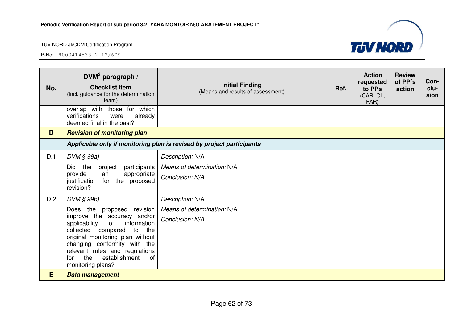

| No. | DVM <sup>3</sup> paragraph /<br><b>Checklist Item</b><br>(incl. guidance for the determination<br>team)                                                                                                                                                                                                                 | <b>Initial Finding</b><br>(Means and results of assessment)           | Ref. | <b>Action</b><br>requested<br>to PPs<br>(CAR, CL,<br>FAR) | <b>Review</b><br>of PP's<br>action | Con-<br>clu-<br>sion |  |
|-----|-------------------------------------------------------------------------------------------------------------------------------------------------------------------------------------------------------------------------------------------------------------------------------------------------------------------------|-----------------------------------------------------------------------|------|-----------------------------------------------------------|------------------------------------|----------------------|--|
|     | overlap with those for which<br>verifications<br>were<br>already<br>deemed final in the past?                                                                                                                                                                                                                           |                                                                       |      |                                                           |                                    |                      |  |
| D   | <b>Revision of monitoring plan</b>                                                                                                                                                                                                                                                                                      |                                                                       |      |                                                           |                                    |                      |  |
|     |                                                                                                                                                                                                                                                                                                                         | Applicable only if monitoring plan is revised by project participants |      |                                                           |                                    |                      |  |
| D.1 | $DVM \S 99a)$<br>Did<br>the<br>participants<br>project<br>provide<br>appropriate<br>an<br>justification for the proposed<br>revision?                                                                                                                                                                                   | Description: N/A<br>Means of determination: N/A<br>Conclusion: N/A    |      |                                                           |                                    |                      |  |
| D.2 | DVM § 99b)<br>Does the proposed revision<br>improve the accuracy and/or<br>information<br>applicability<br>of<br>collected compared<br>to<br>the<br>original monitoring plan without<br>changing conformity with the<br>relevant rules and regulations<br>establishment<br><b>of</b><br>the<br>for<br>monitoring plans? | Description: N/A<br>Means of determination: N/A<br>Conclusion: N/A    |      |                                                           |                                    |                      |  |
| E   | Data management                                                                                                                                                                                                                                                                                                         |                                                                       |      |                                                           |                                    |                      |  |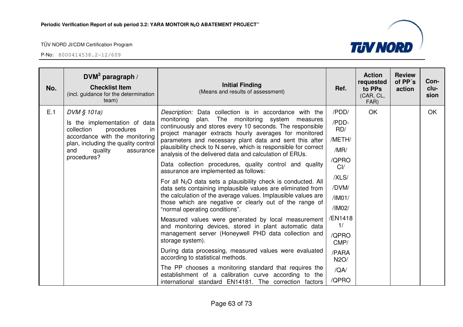P-No: 8000414538.2-12/609



| No. | DVM <sup>3</sup> paragraph /<br><b>Checklist Item</b><br>(incl. guidance for the determination<br>team) | <b>Initial Finding</b><br>(Means and results of assessment)                                                                                                                     | Ref.          | <b>Action</b><br>requested<br>to PPs<br>(CAR, CL,<br>FAR) | <b>Review</b><br>of PP's<br>action | Con-<br>clu-<br>sion |
|-----|---------------------------------------------------------------------------------------------------------|---------------------------------------------------------------------------------------------------------------------------------------------------------------------------------|---------------|-----------------------------------------------------------|------------------------------------|----------------------|
| E.1 | DVM § 101a)                                                                                             | Description: Data collection is in accordance with the                                                                                                                          | /PDD/         | <b>OK</b>                                                 |                                    | OK                   |
|     | Is the implementation of data<br>collection<br>procedures<br>in                                         | monitoring<br>The monitoring system<br>plan.<br>measures<br>continuously and stores every 10 seconds. The responsible<br>project manager extracts hourly averages for monitored | /PDD-<br>RD/  |                                                           |                                    |                      |
|     | accordance with the monitoring<br>plan, including the quality control                                   | parameters and necessary plant data and sent this after                                                                                                                         | /METH/        |                                                           |                                    |                      |
|     | quality<br>and<br>assurance                                                                             | plausibility check to N.serve, which is responsible for correct<br>analysis of the delivered data and calculation of ERUs.                                                      | /MR/          |                                                           |                                    |                      |
|     | procedures?                                                                                             | Data collection procedures, quality control and quality<br>assurance are implemented as follows:                                                                                | /QPRO<br>Cl/  |                                                           |                                    |                      |
|     |                                                                                                         | For all $N_2O$ data sets a plausibility check is conducted. All<br>data sets containing implausible values are eliminated from                                                  | /XLS/         |                                                           |                                    |                      |
|     |                                                                                                         |                                                                                                                                                                                 | /DVM/         |                                                           |                                    |                      |
|     |                                                                                                         | the calculation of the average values. Implausible values are<br>those which are negative or clearly out of the range of                                                        | /IMO1/        |                                                           |                                    |                      |
|     |                                                                                                         | "normal operating conditions".                                                                                                                                                  | /IM02/        |                                                           |                                    |                      |
|     |                                                                                                         | Measured values were generated by local measurement<br>and monitoring devices, stored in plant automatic data                                                                   | /EN1418<br>1/ |                                                           |                                    |                      |
|     |                                                                                                         | management server (Honeywell PHD data collection and<br>storage system).                                                                                                        | /QPRO<br>CMP/ |                                                           |                                    |                      |
|     |                                                                                                         | During data processing, measured values were evaluated<br>according to statistical methods.                                                                                     | /PARA<br>N2O/ |                                                           |                                    |                      |
|     |                                                                                                         | The PP chooses a monitoring standard that requires the                                                                                                                          | /QA/          |                                                           |                                    |                      |
|     |                                                                                                         | establishment of a calibration curve according to the<br>international standard EN14181. The correction factors                                                                 | /QPRO         |                                                           |                                    |                      |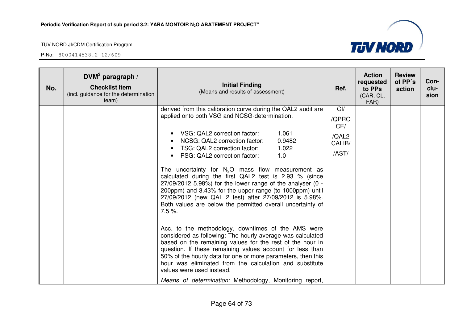



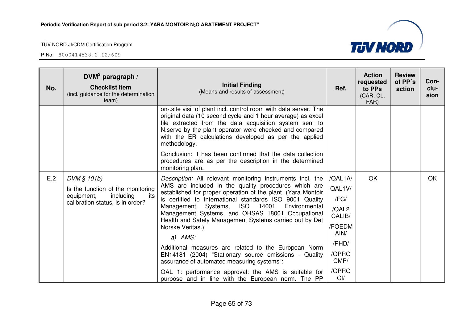| No. | $DWM3$ paragraph /<br><b>Checklist Item</b><br>(incl. guidance for the determination<br>team) | <b>Initial Finding</b><br>(Means and results of assessment)                                                                                                                                                                                                                                                                    | Ref.            | <b>Action</b><br>requested<br>to PPs<br>(CAR, CL,<br>FAR) | <b>Review</b><br>of PP's<br>action | Con-<br>clu-<br>sion |
|-----|-----------------------------------------------------------------------------------------------|--------------------------------------------------------------------------------------------------------------------------------------------------------------------------------------------------------------------------------------------------------------------------------------------------------------------------------|-----------------|-----------------------------------------------------------|------------------------------------|----------------------|
|     |                                                                                               | on-.site visit of plant incl. control room with data server. The<br>original data (10 second cycle and 1 hour average) as excel<br>file extracted from the data acquisition system sent to<br>N.serve by the plant operator were checked and compared<br>with the ER calculations developed as per the applied<br>methodology. |                 |                                                           |                                    |                      |
|     |                                                                                               | Conclusion: It has been confirmed that the data collection<br>procedures are as per the description in the determined<br>monitoring plan.                                                                                                                                                                                      |                 |                                                           |                                    |                      |
| E.2 | DVM § 101b)                                                                                   | Description: All relevant monitoring instruments incl. the                                                                                                                                                                                                                                                                     | /QAL1A/         | <b>OK</b>                                                 |                                    | OK                   |
|     | Is the function of the monitoring                                                             | AMS are included in the quality procedures which are<br>established for proper operation of the plant. (Yara Montoir                                                                                                                                                                                                           | QAL1V/          |                                                           |                                    |                      |
|     | including<br>equipment,<br>its<br>calibration status, is in order?                            | is certified to international standards ISO 9001 Quality                                                                                                                                                                                                                                                                       | /FG/            |                                                           |                                    |                      |
|     | 14001<br>Systems,<br><b>ISO</b><br>Management<br>Environmental<br>Norske Veritas.)<br>a) AMS: | Management Systems, and OHSAS 18001 Occupational<br>Health and Safety Management Systems carried out by Det                                                                                                                                                                                                                    | /QAL2<br>CALIB/ |                                                           |                                    |                      |
|     |                                                                                               |                                                                                                                                                                                                                                                                                                                                | /FOEDM<br>AIN/  |                                                           |                                    |                      |
|     |                                                                                               |                                                                                                                                                                                                                                                                                                                                | /PHD/           |                                                           |                                    |                      |
|     |                                                                                               | Additional measures are related to the European Norm<br>EN14181 (2004) "Stationary source emissions - Quality<br>assurance of automated measuring systems":                                                                                                                                                                    | /QPRO<br>CMP/   |                                                           |                                    |                      |
|     |                                                                                               | QAL 1: performance approval: the AMS is suitable for<br>purpose and in line with the European norm. The PP                                                                                                                                                                                                                     | /QPRO<br>Cl/    |                                                           |                                    |                      |

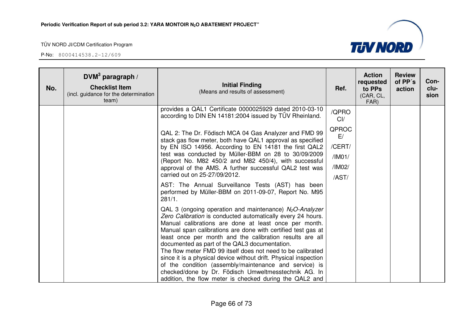| No. | $DVM3$ paragraph /<br><b>Checklist Item</b><br>(incl. guidance for the determination<br>team) | <b>Initial Finding</b><br>(Means and results of assessment)                                                                                                                                                                                                                                                                                                                                                                                                                                                                                                                                                                                                                                           | Ref.                                                               | <b>Action</b><br>requested<br>to PPs<br>(CAR, CL,<br>FAR) | <b>Review</b><br>of PP's<br>action | Con-<br>clu-<br>sion |
|-----|-----------------------------------------------------------------------------------------------|-------------------------------------------------------------------------------------------------------------------------------------------------------------------------------------------------------------------------------------------------------------------------------------------------------------------------------------------------------------------------------------------------------------------------------------------------------------------------------------------------------------------------------------------------------------------------------------------------------------------------------------------------------------------------------------------------------|--------------------------------------------------------------------|-----------------------------------------------------------|------------------------------------|----------------------|
|     |                                                                                               | provides a QAL1 Certificate 0000025929 dated 2010-03-10<br>according to DIN EN 14181:2004 issued by TÜV Rheinland.<br>QAL 2: The Dr. Födisch MCA 04 Gas Analyzer and FMD 99<br>stack gas flow meter, both have QAL1 approval as specified<br>by EN ISO 14956. According to EN 14181 the first QAL2<br>test was conducted by Müller-BBM on 28 to 30/09/2009<br>(Report No. M82 450/2 and M82 450/4), with successful<br>approval of the AMS. A further successful QAL2 test was<br>carried out on 25-27/09/2012.<br>AST: The Annual Surveillance Tests (AST) has been<br>performed by Müller-BBM on 2011-09-07, Report No. M95<br>281/1.<br>QAL 3 (ongoing operation and maintenance) $N_2O$ -Analyzer | /QPRO<br>Cl/<br>QPROC<br>E/<br>/CERT/<br>/IM01/<br>/IM02/<br>/AST/ |                                                           |                                    |                      |
|     |                                                                                               | Zero Calibration is conducted automatically every 24 hours.<br>Manual calibrations are done at least once per month.<br>Manual span calibrations are done with certified test gas at<br>least once per month and the calibration results are all<br>documented as part of the QAL3 documentation.<br>The flow meter FMD 99 itself does not need to be calibrated<br>since it is a physical device without drift. Physical inspection<br>of the condition (assembly/maintenance and service) is<br>checked/done by Dr. Födisch Umweltmesstechnik AG. In<br>addition, the flow meter is checked during the QAL2 and                                                                                     |                                                                    |                                                           |                                    |                      |

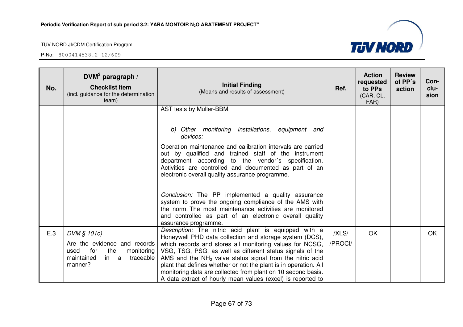

| No. | DVM <sup>3</sup> paragraph /<br><b>Checklist Item</b><br>(incl. guidance for the determination<br>team)                       | <b>Initial Finding</b><br>(Means and results of assessment)                                                                                                                                                                                                                                                                                                                                                                                                                                                | Ref.             | <b>Action</b><br>requested<br>to PPs<br>(CAR, CL,<br>FAR) | <b>Review</b><br>of PP's<br>action | Con-<br>clu-<br>sion |
|-----|-------------------------------------------------------------------------------------------------------------------------------|------------------------------------------------------------------------------------------------------------------------------------------------------------------------------------------------------------------------------------------------------------------------------------------------------------------------------------------------------------------------------------------------------------------------------------------------------------------------------------------------------------|------------------|-----------------------------------------------------------|------------------------------------|----------------------|
|     |                                                                                                                               | AST tests by Müller-BBM.                                                                                                                                                                                                                                                                                                                                                                                                                                                                                   |                  |                                                           |                                    |                      |
|     |                                                                                                                               | b) Other monitoring installations, equipment and<br>devices:                                                                                                                                                                                                                                                                                                                                                                                                                                               |                  |                                                           |                                    |                      |
|     |                                                                                                                               | Operation maintenance and calibration intervals are carried<br>out by qualified and trained staff of the instrument<br>department according to the vendor's specification.<br>Activities are controlled and documented as part of an<br>electronic overall quality assurance programme.                                                                                                                                                                                                                    |                  |                                                           |                                    |                      |
|     |                                                                                                                               | Conclusion: The PP implemented a quality assurance<br>system to prove the ongoing compliance of the AMS with<br>the norm. The most maintenance activities are monitored<br>and controlled as part of an electronic overall quality<br>assurance programme.                                                                                                                                                                                                                                                 |                  |                                                           |                                    |                      |
| E.3 | DVM § 101c)<br>Are the evidence and records<br>for<br>used<br>the<br>monitoring<br>maintained<br>traceable<br>in a<br>manner? | Description: The nitric acid plant is equipped with a<br>Honeywell PHD data collection and storage system (DCS),<br>which records and stores all monitoring values for NCSG,<br>VSG, TSG, PSG, as well as different status signals of the<br>AMS and the $NH3$ valve status signal from the nitric acid<br>plant that defines whether or not the plant is in operation. All<br>monitoring data are collected from plant on 10 second basis.<br>A data extract of hourly mean values (excel) is reported to | /XLS/<br>/PROCI/ | <b>OK</b>                                                 |                                    | <b>OK</b>            |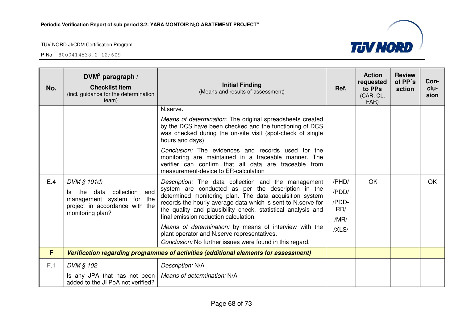| No. | DVM <sup>3</sup> paragraph /<br><b>Checklist Item</b><br>(incl. guidance for the determination<br>team)                                 | <b>Initial Finding</b><br>(Means and results of assessment)                                                                                                                                                                                                                                                                                                                                                                                                                                                         | Ref.                                            | <b>Action</b><br>requested<br>to PPs<br>(CAR, CL,<br>FAR) | <b>Review</b><br>of PP's<br>action | Con-<br>clu-<br>sion |
|-----|-----------------------------------------------------------------------------------------------------------------------------------------|---------------------------------------------------------------------------------------------------------------------------------------------------------------------------------------------------------------------------------------------------------------------------------------------------------------------------------------------------------------------------------------------------------------------------------------------------------------------------------------------------------------------|-------------------------------------------------|-----------------------------------------------------------|------------------------------------|----------------------|
|     |                                                                                                                                         | N.serve.<br>Means of determination: The original spreadsheets created<br>by the DCS have been checked and the functioning of DCS<br>was checked during the on-site visit (spot-check of single<br>hours and days).                                                                                                                                                                                                                                                                                                  |                                                 |                                                           |                                    |                      |
|     |                                                                                                                                         | Conclusion: The evidences and records used for the<br>monitoring are maintained in a traceable manner. The<br>verifier can confirm that all data are traceable from<br>measurement-device to ER-calculation                                                                                                                                                                                                                                                                                                         |                                                 |                                                           |                                    |                      |
| E.4 | DVM § 101d)<br>collection and<br>the<br>data<br>ls l<br>management system for the<br>project in accordance with the<br>monitoring plan? | Description: The data collection and the management<br>system are conducted as per the description in the<br>determined monitoring plan. The data acquisition system<br>records the hourly average data which is sent to N. serve for<br>the quality and plausibility check, statistical analysis and<br>final emission reduction calculation.<br>Means of determination: by means of interview with the<br>plant operator and N.serve representatives.<br>Conclusion: No further issues were found in this regard. | /PHD/<br>/PDD/<br>/PDD-<br>RD/<br>/MR/<br>/XLS/ | OK                                                        |                                    | OK.                  |
| F   |                                                                                                                                         | Verification regarding programmes of activities (additional elements for assessment)                                                                                                                                                                                                                                                                                                                                                                                                                                |                                                 |                                                           |                                    |                      |
| F.1 | DVM § 102<br>Is any JPA that has not been<br>added to the JI PoA not verified?                                                          | Description: N/A<br>Means of determination: N/A                                                                                                                                                                                                                                                                                                                                                                                                                                                                     |                                                 |                                                           |                                    |                      |

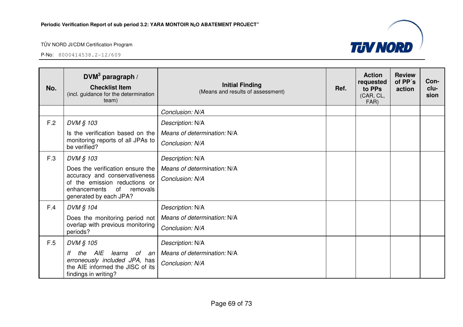P-No: 8000414538.2-12/609



| No. | DVM <sup>3</sup> paragraph /<br><b>Checklist Item</b><br>(incl. guidance for the determination<br>team)                                                     | <b>Initial Finding</b><br>(Means and results of assessment) | Ref. | <b>Action</b><br>requested<br>to PPs<br>(CAR, CL,<br>FAR) | <b>Review</b><br>of PP's<br>action | Con-<br>clu-<br>sion |
|-----|-------------------------------------------------------------------------------------------------------------------------------------------------------------|-------------------------------------------------------------|------|-----------------------------------------------------------|------------------------------------|----------------------|
|     |                                                                                                                                                             | Conclusion: N/A                                             |      |                                                           |                                    |                      |
| F.2 | DVM § 103                                                                                                                                                   | Description: N/A                                            |      |                                                           |                                    |                      |
|     | Is the verification based on the                                                                                                                            | Means of determination: N/A                                 |      |                                                           |                                    |                      |
|     | monitoring reports of all JPAs to<br>be verified?                                                                                                           | Conclusion: N/A                                             |      |                                                           |                                    |                      |
| F.3 | DVM § 103                                                                                                                                                   | Description: N/A                                            |      |                                                           |                                    |                      |
|     | Does the verification ensure the<br>accuracy and conservativeness<br>of the emission reductions or<br>of removals<br>enhancements<br>generated by each JPA? | Means of determination: N/A                                 |      |                                                           |                                    |                      |
|     |                                                                                                                                                             | Conclusion: N/A                                             |      |                                                           |                                    |                      |
| F.4 | DVM § 104                                                                                                                                                   | Description: N/A                                            |      |                                                           |                                    |                      |
|     | Does the monitoring period not                                                                                                                              | Means of determination: N/A                                 |      |                                                           |                                    |                      |
|     | overlap with previous monitoring<br>periods?                                                                                                                | Conclusion: N/A                                             |      |                                                           |                                    |                      |
| F.5 | DVM § 105                                                                                                                                                   | Description: N/A                                            |      |                                                           |                                    |                      |
|     | the AIE<br>learns<br>of an<br>lf                                                                                                                            | Means of determination: N/A                                 |      |                                                           |                                    |                      |
|     | erroneously included JPA, has<br>the AIE informed the JISC of its<br>findings in writing?                                                                   | Conclusion: N/A                                             |      |                                                           |                                    |                      |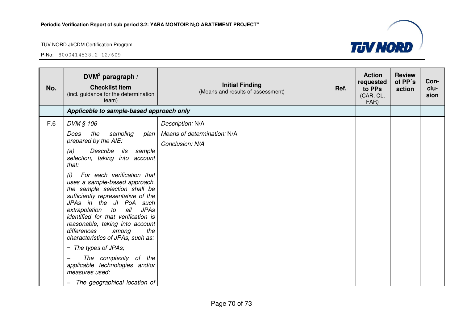

| No. | DVM <sup>3</sup> paragraph /<br><b>Checklist Item</b><br>(incl. guidance for the determination<br>team)                                                                                                                                                                                                                                                                                                                                                                                                                        | <b>Initial Finding</b><br>(Means and results of assessment) | Ref. | <b>Action</b><br>requested<br>to PPs<br>(CAR, CL,<br>FAR) | <b>Review</b><br>of PP's<br>action | Con-<br>clu-<br>sion |
|-----|--------------------------------------------------------------------------------------------------------------------------------------------------------------------------------------------------------------------------------------------------------------------------------------------------------------------------------------------------------------------------------------------------------------------------------------------------------------------------------------------------------------------------------|-------------------------------------------------------------|------|-----------------------------------------------------------|------------------------------------|----------------------|
|     | Applicable to sample-based approach only                                                                                                                                                                                                                                                                                                                                                                                                                                                                                       |                                                             |      |                                                           |                                    |                      |
| F.6 | DVM § 106                                                                                                                                                                                                                                                                                                                                                                                                                                                                                                                      | Description: N/A                                            |      |                                                           |                                    |                      |
|     | Does<br>the<br>sampling<br>plan<br>prepared by the AIE:<br>Describe<br>(a)<br>its<br>sample<br>selection, taking into account<br>that:<br>For each verification that<br>(i)<br>uses a sample-based approach,<br>the sample selection shall be<br>sufficiently representative of the<br>JPAs in the JI PoA such<br>all<br><b>JPAs</b><br>extrapolation to<br>identified for that verification is<br>reasonable, taking into account<br>differences<br>the<br>among<br>characteristics of JPAs, such as:<br>- The types of JPAs; | Means of determination: N/A<br>Conclusion: N/A              |      |                                                           |                                    |                      |
|     | The complexity of the<br>applicable technologies and/or<br>measures used;<br>The geographical location of                                                                                                                                                                                                                                                                                                                                                                                                                      |                                                             |      |                                                           |                                    |                      |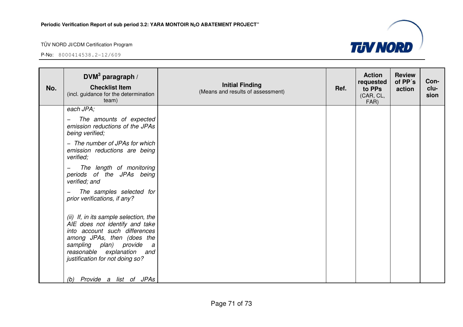

| No. | DVM <sup>3</sup> paragraph /<br><b>Checklist Item</b><br>(incl. guidance for the determination<br>team)                                                                                                                                | <b>Initial Finding</b><br>(Means and results of assessment) | Ref. | <b>Action</b><br>requested<br>to PPs<br>(CAR, CL,<br>FAR) | <b>Review</b><br>of PP's<br>action | Con-<br>clu-<br>sion |
|-----|----------------------------------------------------------------------------------------------------------------------------------------------------------------------------------------------------------------------------------------|-------------------------------------------------------------|------|-----------------------------------------------------------|------------------------------------|----------------------|
|     | each JPA;                                                                                                                                                                                                                              |                                                             |      |                                                           |                                    |                      |
|     | The amounts of expected<br>emission reductions of the JPAs<br>being verified;                                                                                                                                                          |                                                             |      |                                                           |                                    |                      |
|     | - The number of JPAs for which<br>emission reductions are being<br>verified;                                                                                                                                                           |                                                             |      |                                                           |                                    |                      |
|     | The length of monitoring<br>periods of the JPAs being<br>verified; and                                                                                                                                                                 |                                                             |      |                                                           |                                    |                      |
|     | The samples selected for<br>$\qquad \qquad -$<br>prior verifications, if any?                                                                                                                                                          |                                                             |      |                                                           |                                    |                      |
|     | (ii) If, in its sample selection, the<br>AIE does not identify and take<br>into account such differences<br>among JPAs, then (does the<br>sampling plan) provide a<br>reasonable explanation<br>and<br>justification for not doing so? |                                                             |      |                                                           |                                    |                      |
|     | (b) Provide a list of JPAs                                                                                                                                                                                                             |                                                             |      |                                                           |                                    |                      |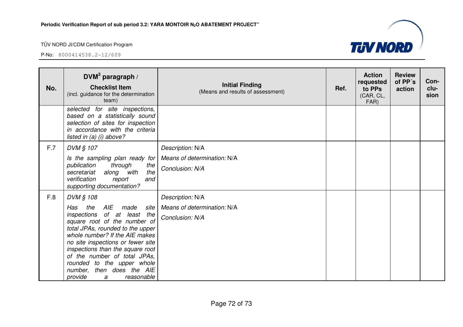P-No: 8000414538.2-12/609

| No. | DVM <sup>3</sup> paragraph /<br><b>Checklist Item</b><br>(incl. guidance for the determination<br>team)                                                                                                                                                                                                                                                                               | <b>Initial Finding</b><br>(Means and results of assessment)        | Ref. | <b>Action</b><br>requested<br>to PPs<br>(CAR, CL,<br>FAR) | <b>Review</b><br>of PP's<br>action | Con-<br>clu-<br>sion |
|-----|---------------------------------------------------------------------------------------------------------------------------------------------------------------------------------------------------------------------------------------------------------------------------------------------------------------------------------------------------------------------------------------|--------------------------------------------------------------------|------|-----------------------------------------------------------|------------------------------------|----------------------|
|     | selected for site inspections,<br>based on a statistically sound<br>selection of sites for inspection<br>in accordance with the criteria<br>listed in $(a)$ (i) above?                                                                                                                                                                                                                |                                                                    |      |                                                           |                                    |                      |
| F.7 | DVM § 107<br>Is the sampling plan ready for<br>through<br>publication<br>the<br>the<br>with<br>secretariat<br>along<br>verification<br>report<br>and<br>supporting documentation?                                                                                                                                                                                                     | Description: N/A<br>Means of determination: N/A<br>Conclusion: N/A |      |                                                           |                                    |                      |
| F.8 | DVM § 108<br>AIE<br>the<br>Has<br>made<br>site<br>inspections of at least the<br>square root of the number of<br>total JPAs, rounded to the upper<br>whole number? If the AIE makes<br>no site inspections or fewer site<br>inspections than the square root<br>of the number of total JPAs,<br>rounded to the upper whole<br>number, then does the AIE<br>provide<br>reasonable<br>a | Description: N/A<br>Means of determination: N/A<br>Conclusion: N/A |      |                                                           |                                    |                      |

Page 72 of 73